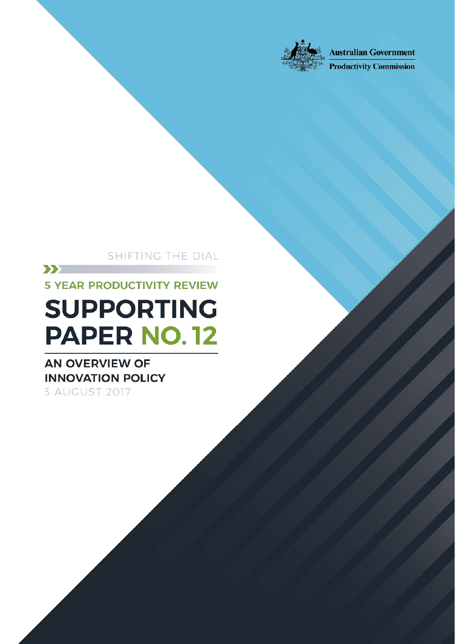

**Australian Government** 

**Productivity Commission** 

SHIFTING THE DIAL

An overview of innovation policy

Shifting the Dial: 5 year Productivity Review — Supporting Paper No.15, Canberra,

 $\sum$ 

**5 YEAR PRODUCTIVITY REVIEW** 

# **SUPPORTING PAPER NO.12**

### **AN OVERVIEW OF INNOVATION POLICY** 3 AUGUST 2017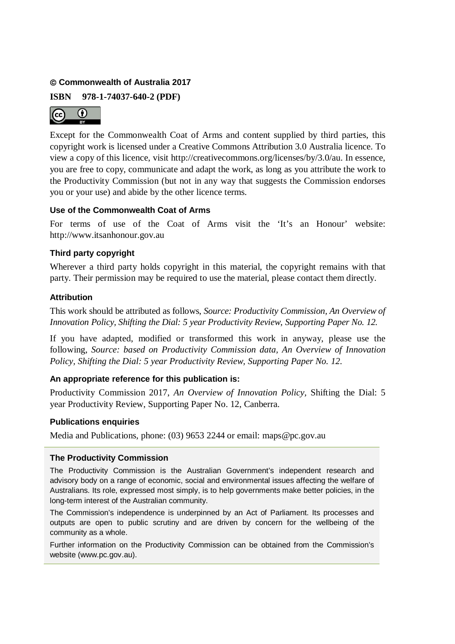#### **Commonwealth of Australia 2017**

**ISBN 978-1-74037-640-2 (PDF)**



Except for the Commonwealth Coat of Arms and content supplied by third parties, this copyright work is licensed under a Creative Commons Attribution 3.0 Australia licence. To view a copy of this licence, visit http://creativecommons.org/licenses/by/3.0/au. In essence, you are free to copy, communicate and adapt the work, as long as you attribute the work to the Productivity Commission (but not in any way that suggests the Commission endorses you or your use) and abide by the other licence terms.

#### **Use of the Commonwealth Coat of Arms**

For terms of use of the Coat of Arms visit the 'It's an Honour' website: http://www.itsanhonour.gov.au

#### **Third party copyright**

Wherever a third party holds copyright in this material, the copyright remains with that party. Their permission may be required to use the material, please contact them directly.

#### **Attribution**

This work should be attributed as follows, *Source: Productivity Commission, An Overview of Innovation Policy, Shifting the Dial: 5 year Productivity Review*, *Supporting Paper No. 12.*

If you have adapted, modified or transformed this work in anyway, please use the following, *Source: based on Productivity Commission data, An Overview of Innovation Policy, Shifting the Dial: 5 year Productivity Review, Supporting Paper No. 12.*

#### **An appropriate reference for this publication is:**

Productivity Commission 2017, *An Overview of Innovation Policy,* Shifting the Dial: 5 year Productivity Review, Supporting Paper No. 12, Canberra.

#### **Publications enquiries**

Media and Publications, phone: (03) 9653 2244 or email: maps@pc.gov.au

#### **The Productivity Commission**

The Productivity Commission is the Australian Government's independent research and advisory body on a range of economic, social and environmental issues affecting the welfare of Australians. Its role, expressed most simply, is to help governments make better policies, in the long-term interest of the Australian community.

The Commission's independence is underpinned by an Act of Parliament. Its processes and outputs are open to public scrutiny and are driven by concern for the wellbeing of the community as a whole.

Further information on the Productivity Commission can be obtained from the Commission's website (www.pc.gov.au).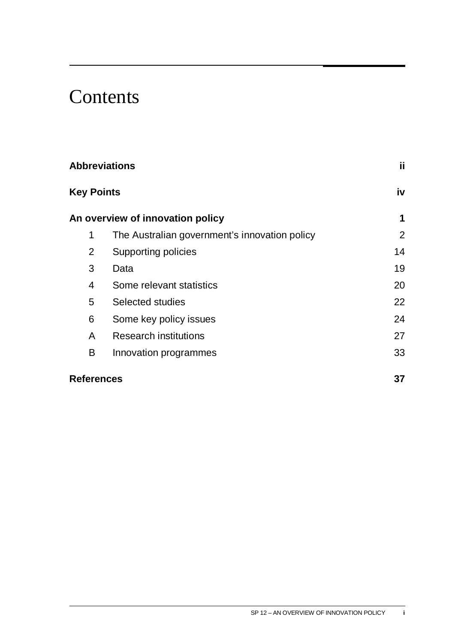## **Contents**

| <b>Abbreviations</b> |                                               | jj.            |
|----------------------|-----------------------------------------------|----------------|
| <b>Key Points</b>    |                                               | iv             |
|                      | An overview of innovation policy              | 1              |
| 1                    | The Australian government's innovation policy | $\overline{2}$ |
| 2                    | Supporting policies                           | 14             |
| 3                    | Data                                          | 19             |
| 4                    | Some relevant statistics                      | 20             |
| 5                    | Selected studies                              | 22             |
| 6                    | Some key policy issues                        | 24             |
| A                    | <b>Research institutions</b>                  | 27             |
| B                    | Innovation programmes                         | 33             |
| <b>References</b>    |                                               | 37             |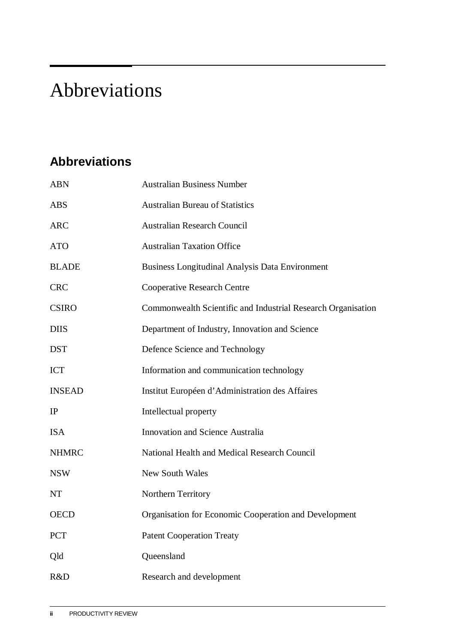## <span id="page-3-0"></span>Abbreviations

## **Abbreviations**

| <b>ABN</b>    | <b>Australian Business Number</b>                            |
|---------------|--------------------------------------------------------------|
| <b>ABS</b>    | <b>Australian Bureau of Statistics</b>                       |
| <b>ARC</b>    | <b>Australian Research Council</b>                           |
| <b>ATO</b>    | <b>Australian Taxation Office</b>                            |
| <b>BLADE</b>  | <b>Business Longitudinal Analysis Data Environment</b>       |
| <b>CRC</b>    | <b>Cooperative Research Centre</b>                           |
| <b>CSIRO</b>  | Commonwealth Scientific and Industrial Research Organisation |
| <b>DIIS</b>   | Department of Industry, Innovation and Science               |
| <b>DST</b>    | Defence Science and Technology                               |
| <b>ICT</b>    | Information and communication technology                     |
| <b>INSEAD</b> | Institut Européen d'Administration des Affaires              |
| IP            | Intellectual property                                        |
| <b>ISA</b>    | <b>Innovation and Science Australia</b>                      |
| <b>NHMRC</b>  | National Health and Medical Research Council                 |
| <b>NSW</b>    | <b>New South Wales</b>                                       |
| <b>NT</b>     | Northern Territory                                           |
| <b>OECD</b>   | Organisation for Economic Cooperation and Development        |
| <b>PCT</b>    | <b>Patent Cooperation Treaty</b>                             |
| Qld           | Queensland                                                   |
| R&D           | Research and development                                     |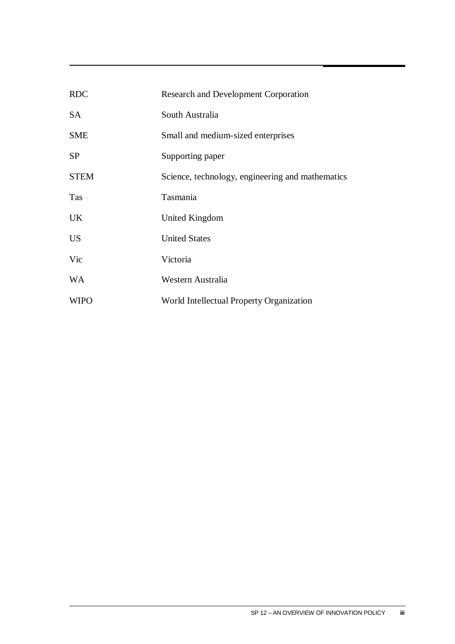| <b>RDC</b>  | <b>Research and Development Corporation</b>      |
|-------------|--------------------------------------------------|
| <b>SA</b>   | South Australia                                  |
| <b>SME</b>  | Small and medium-sized enterprises               |
| <b>SP</b>   | Supporting paper                                 |
| <b>STEM</b> | Science, technology, engineering and mathematics |
| Tas         | Tasmania                                         |
| <b>UK</b>   | United Kingdom                                   |
| <b>US</b>   | <b>United States</b>                             |
| Vic         | Victoria                                         |
| <b>WA</b>   | Western Australia                                |
| <b>WIPO</b> | World Intellectual Property Organization         |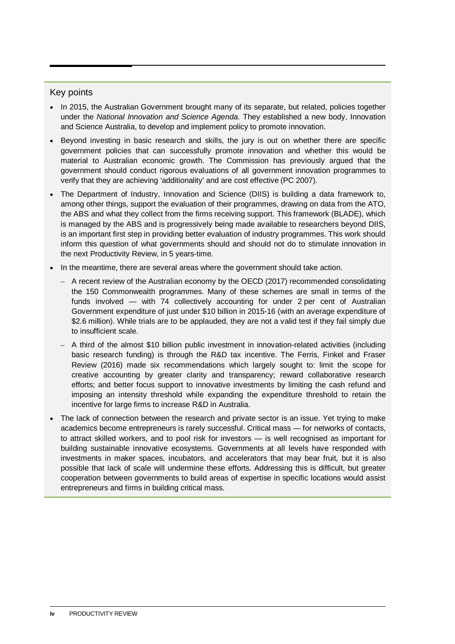#### <span id="page-5-0"></span>Key points

- In 2015, the Australian Government brought many of its separate, but related, policies together under the *National Innovation and Science Agenda*. They established a new body, Innovation and Science Australia, to develop and implement policy to promote innovation.
- Beyond investing in basic research and skills, the jury is out on whether there are specific government policies that can successfully promote innovation and whether this would be material to Australian economic growth. The Commission has previously argued that the government should conduct rigorous evaluations of all government innovation programmes to verify that they are achieving 'additionality' and are cost effective (PC 2007).
- The Department of Industry, Innovation and Science (DIIS) is building a data framework to, among other things, support the evaluation of their programmes, drawing on data from the ATO, the ABS and what they collect from the firms receiving support. This framework (BLADE), which is managed by the ABS and is progressively being made available to researchers beyond DIIS, is an important first step in providing better evaluation of industry programmes. This work should inform this question of what governments should and should not do to stimulate innovation in the next Productivity Review, in 5 years-time.
- In the meantime, there are several areas where the government should take action.
	- A recent review of the Australian economy by the OECD (2017) recommended consolidating the 150 Commonwealth programmes. Many of these schemes are small in terms of the funds involved — with 74 collectively accounting for under 2 per cent of Australian Government expenditure of just under \$10 billion in 2015-16 (with an average expenditure of \$2.6 million). While trials are to be applauded, they are not a valid test if they fail simply due to insufficient scale.
	- A third of the almost \$10 billion public investment in innovation-related activities (including basic research funding) is through the R&D tax incentive. The Ferris, Finkel and Fraser Review (2016) made six recommendations which largely sought to: limit the scope for creative accounting by greater clarity and transparency; reward collaborative research efforts; and better focus support to innovative investments by limiting the cash refund and imposing an intensity threshold while expanding the expenditure threshold to retain the incentive for large firms to increase R&D in Australia.
- The lack of connection between the research and private sector is an issue. Yet trying to make academics become entrepreneurs is rarely successful. Critical mass — for networks of contacts, to attract skilled workers, and to pool risk for investors — is well recognised as important for building sustainable innovative ecosystems. Governments at all levels have responded with investments in maker spaces, incubators, and accelerators that may bear fruit, but it is also possible that lack of scale will undermine these efforts. Addressing this is difficult, but greater cooperation between governments to build areas of expertise in specific locations would assist entrepreneurs and firms in building critical mass.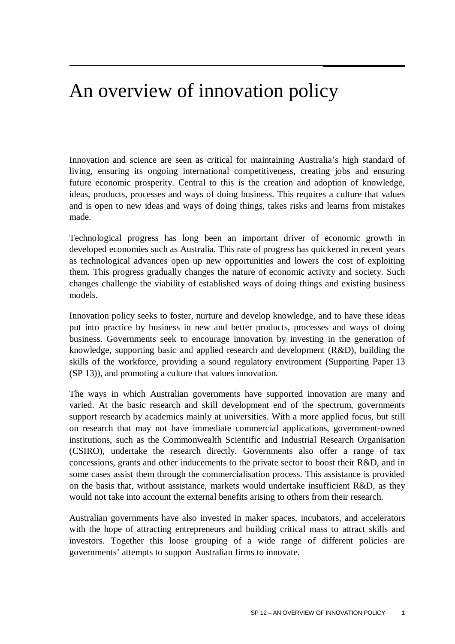## <span id="page-6-0"></span>An overview of innovation policy

Innovation and science are seen as critical for maintaining Australia's high standard of living, ensuring its ongoing international competitiveness, creating jobs and ensuring future economic prosperity. Central to this is the creation and adoption of knowledge, ideas, products, processes and ways of doing business. This requires a culture that values and is open to new ideas and ways of doing things, takes risks and learns from mistakes made.

Technological progress has long been an important driver of economic growth in developed economies such as Australia. This rate of progress has quickened in recent years as technological advances open up new opportunities and lowers the cost of exploiting them. This progress gradually changes the nature of economic activity and society. Such changes challenge the viability of established ways of doing things and existing business models.

Innovation policy seeks to foster, nurture and develop knowledge, and to have these ideas put into practice by business in new and better products, processes and ways of doing business. Governments seek to encourage innovation by investing in the generation of knowledge, supporting basic and applied research and development (R&D), building the skills of the workforce, providing a sound regulatory environment (Supporting Paper 13 (SP 13)), and promoting a culture that values innovation.

The ways in which Australian governments have supported innovation are many and varied. At the basic research and skill development end of the spectrum, governments support research by academics mainly at universities. With a more applied focus, but still on research that may not have immediate commercial applications, government-owned institutions, such as the Commonwealth Scientific and Industrial Research Organisation (CSIRO), undertake the research directly. Governments also offer a range of tax concessions, grants and other inducements to the private sector to boost their R&D, and in some cases assist them through the commercialisation process. This assistance is provided on the basis that, without assistance, markets would undertake insufficient R&D, as they would not take into account the external benefits arising to others from their research.

Australian governments have also invested in maker spaces, incubators, and accelerators with the hope of attracting entrepreneurs and building critical mass to attract skills and investors. Together this loose grouping of a wide range of different policies are governments' attempts to support Australian firms to innovate.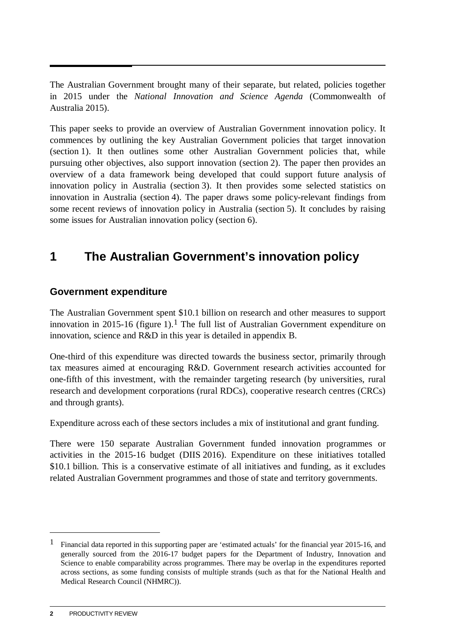<span id="page-7-0"></span>The Australian Government brought many of their separate, but related, policies together in 2015 under the *National Innovation and Science Agenda* (Commonwealth of Australia 2015).

This paper seeks to provide an overview of Australian Government innovation policy. It commences by outlining the key Australian Government policies that target innovation (section 1). It then outlines some other Australian Government policies that, while pursuing other objectives, also support innovation (section 2). The paper then provides an overview of a data framework being developed that could support future analysis of innovation policy in Australia (section 3). It then provides some selected statistics on innovation in Australia (section 4). The paper draws some policy-relevant findings from some recent reviews of innovation policy in Australia (section 5). It concludes by raising some issues for Australian innovation policy (section 6).

### **1 The Australian Government's innovation policy**

#### **Government expenditure**

The Australian Government spent \$10.1 billion on research and other measures to support innovation in 20[1](#page-7-1)5-16 (figure 1).<sup>1</sup> The full list of Australian Government expenditure on innovation, science and R&D in this year is detailed in appendix B.

One-third of this expenditure was directed towards the business sector, primarily through tax measures aimed at encouraging R&D. Government research activities accounted for one-fifth of this investment, with the remainder targeting research (by universities, rural research and development corporations (rural RDCs), cooperative research centres (CRCs) and through grants).

Expenditure across each of these sectors includes a mix of institutional and grant funding.

There were 150 separate Australian Government funded innovation programmes or activities in the 2015-16 budget (DIIS 2016). Expenditure on these initiatives totalled \$10.1 billion. This is a conservative estimate of all initiatives and funding, as it excludes related Australian Government programmes and those of state and territory governments.

<u>.</u>

<span id="page-7-1"></span><sup>1</sup> Financial data reported in this supporting paper are 'estimated actuals' for the financial year 2015-16, and generally sourced from the 2016-17 budget papers for the Department of Industry, Innovation and Science to enable comparability across programmes. There may be overlap in the expenditures reported across sections, as some funding consists of multiple strands (such as that for the National Health and Medical Research Council (NHMRC)).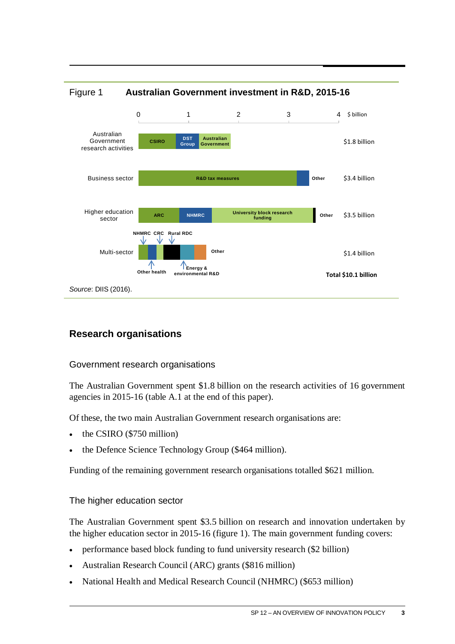

### Figure 1 **Australian Government investment in R&D, 2015-16**

#### **Research organisations**

#### Government research organisations

The Australian Government spent \$1.8 billion on the research activities of 16 government agencies in 2015-16 (table A.1 at the end of this paper).

Of these, the two main Australian Government research organisations are:

- the CSIRO (\$750 million)
- the Defence Science Technology Group (\$464 million).

Funding of the remaining government research organisations totalled \$621 million.

#### The higher education sector

The Australian Government spent \$3.5 billion on research and innovation undertaken by the higher education sector in 2015-16 (figure 1). The main government funding covers:

- performance based block funding to fund university research (\$2 billion)
- Australian Research Council (ARC) grants (\$816 million)
- National Health and Medical Research Council (NHMRC) (\$653 million)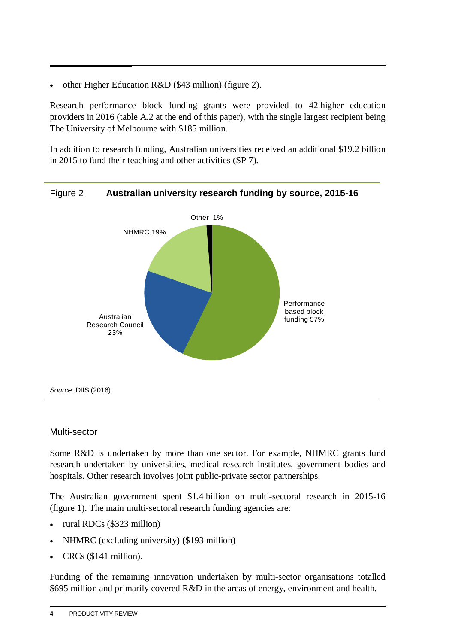• other Higher Education R&D (\$43 million) (figure 2).

Research performance block funding grants were provided to 42 higher education providers in 2016 (table A.2 at the end of this paper), with the single largest recipient being The University of Melbourne with \$185 million.

In addition to research funding, Australian universities received an additional \$19.2 billion in 2015 to fund their teaching and other activities (SP 7).



#### Figure 2 **Australian university research funding by source, 2015-16**

#### Multi-sector

Some R&D is undertaken by more than one sector. For example, NHMRC grants fund research undertaken by universities, medical research institutes, government bodies and hospitals. Other research involves joint public-private sector partnerships.

The Australian government spent \$1.4 billion on multi-sectoral research in 2015-16 (figure 1). The main multi-sectoral research funding agencies are:

- rural RDCs (\$323 million)
- NHMRC (excluding university) (\$193 million)
- CRCs (\$141 million).

Funding of the remaining innovation undertaken by multi-sector organisations totalled \$695 million and primarily covered R&D in the areas of energy, environment and health.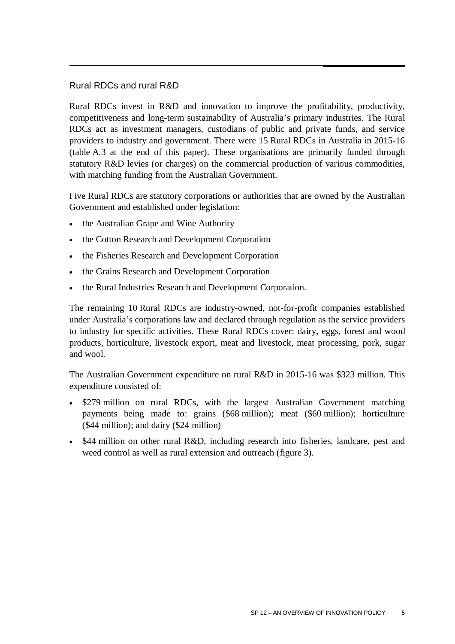#### Rural RDCs and rural R&D

Rural RDCs invest in R&D and innovation to improve the profitability, productivity, competitiveness and long-term sustainability of Australia's primary industries. The Rural RDCs act as investment managers, custodians of public and private funds, and service providers to industry and government. There were 15 Rural RDCs in Australia in 2015-16 (table A.3 at the end of this paper). These organisations are primarily funded through statutory R&D levies (or charges) on the commercial production of various commodities, with matching funding from the Australian Government.

Five Rural RDCs are statutory corporations or authorities that are owned by the Australian Government and established under legislation:

- the Australian Grape and Wine Authority
- the Cotton Research and Development Corporation
- the Fisheries Research and Development Corporation
- the Grains Research and Development Corporation
- the Rural Industries Research and Development Corporation.

The remaining 10 Rural RDCs are industry-owned, not-for-profit companies established under Australia's corporations law and declared through regulation as the service providers to industry for specific activities. These Rural RDCs cover: dairy, eggs, forest and wood products, horticulture, livestock export, meat and livestock, meat processing, pork, sugar and wool.

The Australian Government expenditure on rural R&D in 2015-16 was \$323 million. This expenditure consisted of:

- \$279 million on rural RDCs, with the largest Australian Government matching payments being made to: grains (\$68 million); meat (\$60 million); horticulture (\$44 million); and dairy (\$24 million)
- \$44 million on other rural R&D, including research into fisheries, landcare, pest and weed control as well as rural extension and outreach (figure 3).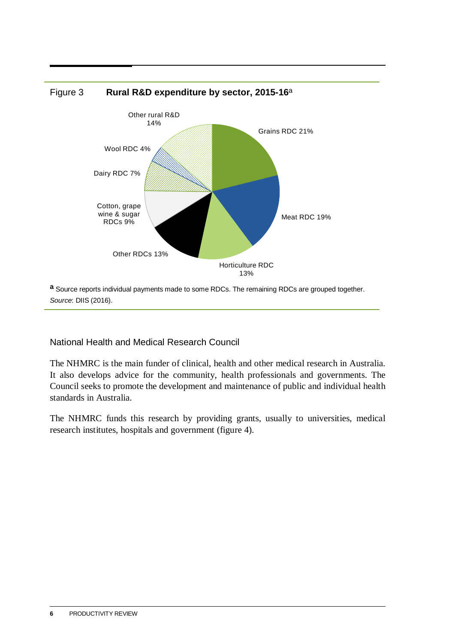

**a** Source reports individual payments made to some RDCs. The remaining RDCs are grouped together. *Source*: DIIS (2016).

National Health and Medical Research Council

The NHMRC is the main funder of clinical, health and other medical research in Australia. It also develops advice for the community, health professionals and governments. The Council seeks to promote the development and maintenance of public and individual health standards in Australia.

The NHMRC funds this research by providing grants, usually to universities, medical research institutes, hospitals and government (figure 4).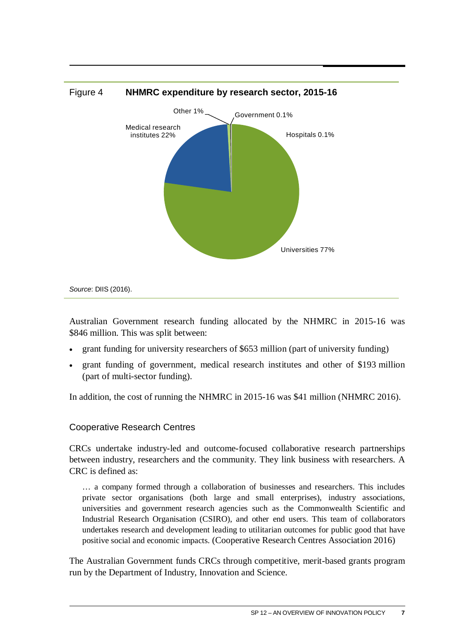

Australian Government research funding allocated by the NHMRC in 2015-16 was \$846 million. This was split between:

- grant funding for university researchers of \$653 million (part of university funding)
- grant funding of government, medical research institutes and other of \$193 million (part of multi-sector funding).

In addition, the cost of running the NHMRC in 2015-16 was \$41 million (NHMRC 2016).

#### Cooperative Research Centres

CRCs undertake industry-led and outcome-focused collaborative research partnerships between industry, researchers and the community. They link business with researchers. A CRC is defined as:

… a company formed through a collaboration of businesses and researchers. This includes private sector organisations (both large and small enterprises), industry associations, universities and government research agencies such as the Commonwealth Scientific and Industrial Research Organisation (CSIRO), and other end users. This team of collaborators undertakes research and development leading to utilitarian outcomes for public good that have positive social and economic impacts. (Cooperative Research Centres Association 2016)

The Australian Government funds CRCs through competitive, merit-based grants program run by the Department of Industry, Innovation and Science.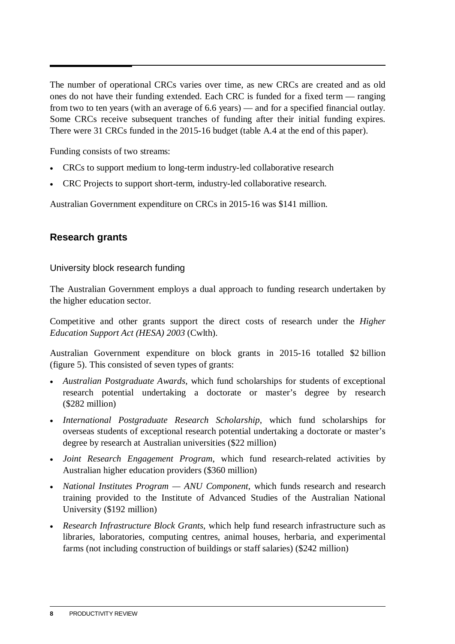The number of operational CRCs varies over time, as new CRCs are created and as old ones do not have their funding extended. Each CRC is funded for a fixed term — ranging from two to ten years (with an average of 6.6 years) — and for a specified financial outlay. Some CRCs receive subsequent tranches of funding after their initial funding expires. There were 31 CRCs funded in the 2015-16 budget (table A.4 at the end of this paper).

Funding consists of two streams:

- CRCs to support medium to long-term industry-led collaborative research
- CRC Projects to support short-term, industry-led collaborative research.

Australian Government expenditure on CRCs in 2015-16 was \$141 million.

#### **Research grants**

University block research funding

The Australian Government employs a dual approach to funding research undertaken by the higher education sector.

Competitive and other grants support the direct costs of research under the *Higher Education Support Act (HESA) 2003* (Cwlth).

Australian Government expenditure on block grants in 2015-16 totalled \$2 billion (figure 5). This consisted of seven types of grants:

- *Australian Postgraduate Awards*, which fund scholarships for students of exceptional research potential undertaking a doctorate or master's degree by research (\$282 million)
- *International Postgraduate Research Scholarship*, which fund scholarships for overseas students of exceptional research potential undertaking a doctorate or master's degree by research at Australian universities (\$22 million)
- *Joint Research Engagement Program*, which fund research-related activities by Australian higher education providers (\$360 million)
- *National Institutes Program ANU Component*, which funds research and research training provided to the Institute of Advanced Studies of the Australian National University (\$192 million)
- *Research Infrastructure Block Grants*, which help fund research infrastructure such as libraries, laboratories, computing centres, animal houses, herbaria, and experimental farms (not including construction of buildings or staff salaries) (\$242 million)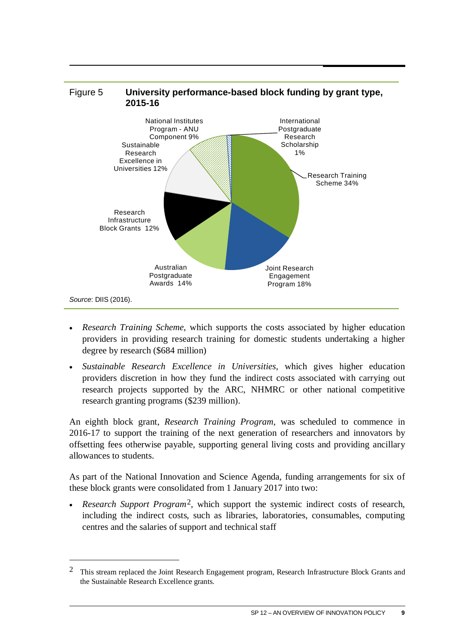

- *Research Training Scheme*, which supports the costs associated by higher education providers in providing research training for domestic students undertaking a higher degree by research (\$684 million)
- *Sustainable Research Excellence in Universities*, which gives higher education providers discretion in how they fund the indirect costs associated with carrying out research projects supported by the ARC, NHMRC or other national competitive research granting programs (\$239 million).

An eighth block grant, *Research Training Program*, was scheduled to commence in 2016-17 to support the training of the next generation of researchers and innovators by offsetting fees otherwise payable, supporting general living costs and providing ancillary allowances to students.

As part of the National Innovation and Science Agenda, funding arrangements for six of these block grants were consolidated from 1 January 2017 into two:

• *Research Support Program*[2](#page-14-0)*,* which support the systemic indirect costs of research, including the indirect costs, such as libraries, laboratories, consumables, computing centres and the salaries of support and technical staff

 $\overline{a}$ 

<span id="page-14-0"></span><sup>&</sup>lt;sup>2</sup> This stream replaced the Joint Research Engagement program, Research Infrastructure Block Grants and the Sustainable Research Excellence grants.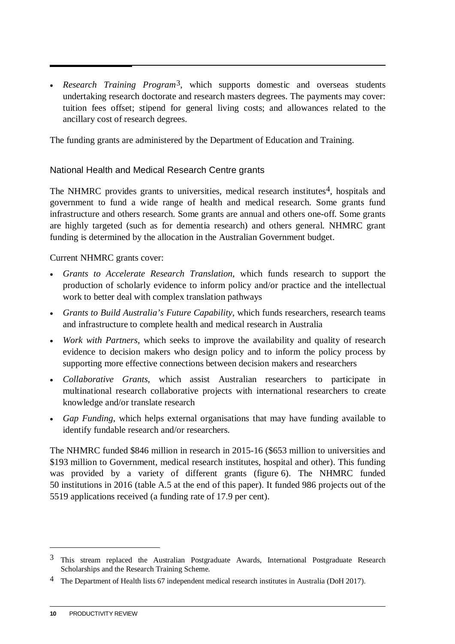• *Research Training Program*[3,](#page-15-0) which supports domestic and overseas students undertaking research doctorate and research masters degrees. The payments may cover: tuition fees offset; stipend for general living costs; and allowances related to the ancillary cost of research degrees.

The funding grants are administered by the Department of Education and Training.

#### National Health and Medical Research Centre grants

The NHMRC provides grants to universities, medical research institutes<sup>[4](#page-15-1)</sup>, hospitals and government to fund a wide range of health and medical research. Some grants fund infrastructure and others research. Some grants are annual and others one-off. Some grants are highly targeted (such as for dementia research) and others general. NHMRC grant funding is determined by the allocation in the Australian Government budget.

Current NHMRC grants cover:

- *Grants to Accelerate Research Translation*, which funds research to support the production of scholarly evidence to inform policy and/or practice and the intellectual work to better deal with complex translation pathways
- *Grants to Build Australia's Future Capability*, which funds researchers, research teams and infrastructure to complete health and medical research in Australia
- *Work with Partners*, which seeks to improve the availability and quality of research evidence to decision makers who design policy and to inform the policy process by supporting more effective connections between decision makers and researchers
- *Collaborative Grants*, which assist Australian researchers to participate in multinational research collaborative projects with international researchers to create knowledge and/or translate research
- *Gap Funding*, which helps external organisations that may have funding available to identify fundable research and/or researchers.

The NHMRC funded \$846 million in research in 2015-16 (\$653 million to universities and \$193 million to Government, medical research institutes, hospital and other). This funding was provided by a variety of different grants (figure 6). The NHMRC funded 50 institutions in 2016 (table A.5 at the end of this paper). It funded 986 projects out of the 5519 applications received (a funding rate of 17.9 per cent).

<u>.</u>

<span id="page-15-0"></span><sup>&</sup>lt;sup>3</sup> This stream replaced the Australian Postgraduate Awards, International Postgraduate Research Scholarships and the Research Training Scheme.

<span id="page-15-1"></span><sup>&</sup>lt;sup>4</sup> The Department of Health lists 67 independent medical research institutes in Australia (DoH 2017).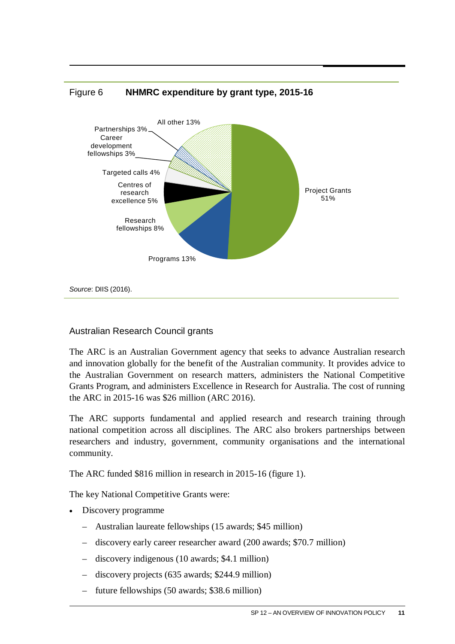

#### Figure 6 **NHMRC expenditure by grant type, 2015-16**

#### Australian Research Council grants

The ARC is an Australian Government agency that seeks to advance Australian research and innovation globally for the benefit of the Australian community. It provides advice to the Australian Government on research matters, administers the National Competitive Grants Program, and administers Excellence in Research for Australia. The cost of running the ARC in 2015-16 was \$26 million (ARC 2016).

The ARC supports fundamental and applied research and research training through national competition across all disciplines. The ARC also brokers partnerships between researchers and industry, government, community organisations and the international community.

The ARC funded \$816 million in research in 2015-16 (figure 1).

The key National Competitive Grants were:

- Discovery programme
	- Australian laureate fellowships (15 awards; \$45 million)
	- discovery early career researcher award (200 awards; \$70.7 million)
	- discovery indigenous (10 awards; \$4.1 million)
	- discovery projects (635 awards; \$244.9 million)
	- future fellowships (50 awards; \$38.6 million)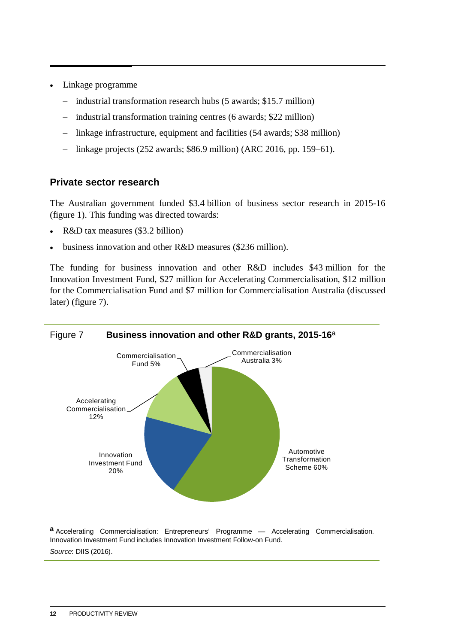- Linkage programme
	- industrial transformation research hubs (5 awards; \$15.7 million)
	- industrial transformation training centres (6 awards; \$22 million)
	- linkage infrastructure, equipment and facilities (54 awards; \$38 million)
	- linkage projects (252 awards; \$86.9 million) (ARC 2016, pp. 159–61).

#### **Private sector research**

The Australian government funded \$3.4 billion of business sector research in 2015-16 (figure 1). This funding was directed towards:

- R&D tax measures (\$3.2 billion)
- business innovation and other R&D measures (\$236 million).

The funding for business innovation and other R&D includes \$43 million for the Innovation Investment Fund, \$27 million for Accelerating Commercialisation, \$12 million for the Commercialisation Fund and \$7 million for Commercialisation Australia (discussed later) (figure 7).



**a** Accelerating Commercialisation: Entrepreneurs' Programme — Accelerating Commercialisation. Innovation Investment Fund includes Innovation Investment Follow-on Fund. *Source*: DIIS (2016).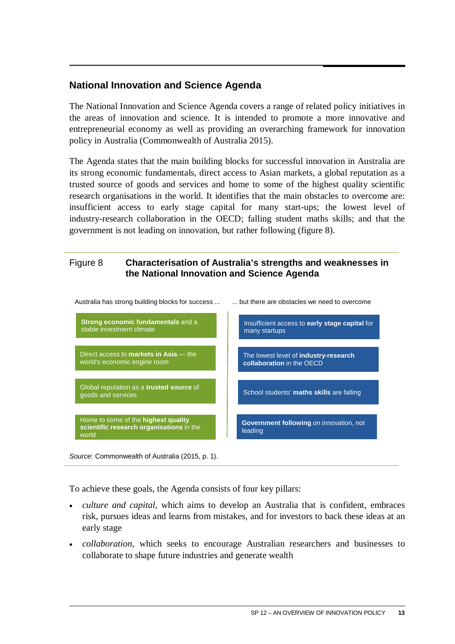#### **National Innovation and Science Agenda**

The National Innovation and Science Agenda covers a range of related policy initiatives in the areas of innovation and science. It is intended to promote a more innovative and entrepreneurial economy as well as providing an overarching framework for innovation policy in Australia (Commonwealth of Australia 2015).

The Agenda states that the main building blocks for successful innovation in Australia are its strong economic fundamentals, direct access to Asian markets, a global reputation as a trusted source of goods and services and home to some of the highest quality scientific research organisations in the world. It identifies that the main obstacles to overcome are: insufficient access to early stage capital for many start-ups; the lowest level of industry-research collaboration in the OECD; falling student maths skills; and that the government is not leading on innovation, but rather following (figure 8).

#### Figure 8 **Characterisation of Australia's strengths and weaknesses in the National Innovation and Science Agenda**



Australia has strong building blocks for success ... ... but there are obstacles we need to overcome

To achieve these goals, the Agenda consists of four key pillars:

- *culture and capital*, which aims to develop an Australia that is confident, embraces risk, pursues ideas and learns from mistakes, and for investors to back these ideas at an early stage
- *collaboration*, which seeks to encourage Australian researchers and businesses to collaborate to shape future industries and generate wealth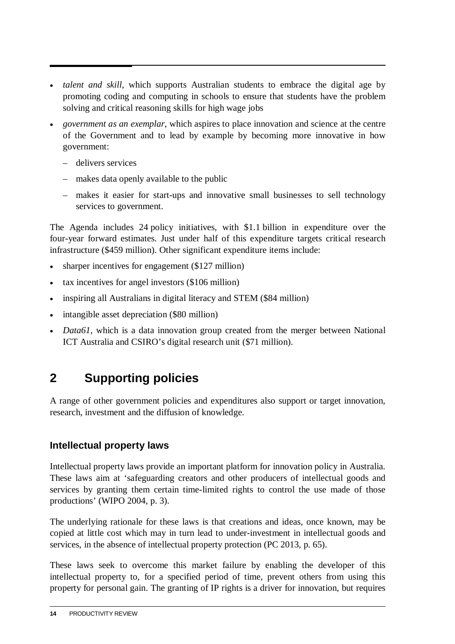- <span id="page-19-0"></span>• *talent and skill*, which supports Australian students to embrace the digital age by promoting coding and computing in schools to ensure that students have the problem solving and critical reasoning skills for high wage jobs
- *government as an exemplar*, which aspires to place innovation and science at the centre of the Government and to lead by example by becoming more innovative in how government:
	- delivers services
	- makes data openly available to the public
	- makes it easier for start-ups and innovative small businesses to sell technology services to government.

The Agenda includes 24 policy initiatives, with \$1.1 billion in expenditure over the four-year forward estimates. Just under half of this expenditure targets critical research infrastructure (\$459 million). Other significant expenditure items include:

- sharper incentives for engagement (\$127 million)
- tax incentives for angel investors (\$106 million)
- inspiring all Australians in digital literacy and STEM (\$84 million)
- intangible asset depreciation (\$80 million)
- *Data61*, which is a data innovation group created from the merger between National ICT Australia and CSIRO's digital research unit (\$71 million).

## **2 Supporting policies**

A range of other government policies and expenditures also support or target innovation, research, investment and the diffusion of knowledge.

#### **Intellectual property laws**

Intellectual property laws provide an important platform for innovation policy in Australia. These laws aim at 'safeguarding creators and other producers of intellectual goods and services by granting them certain time-limited rights to control the use made of those productions' (WIPO 2004, p. 3).

The underlying rationale for these laws is that creations and ideas, once known, may be copied at little cost which may in turn lead to under-investment in intellectual goods and services, in the absence of intellectual property protection (PC 2013, p. 65).

These laws seek to overcome this market failure by enabling the developer of this intellectual property to, for a specified period of time, prevent others from using this property for personal gain. The granting of IP rights is a driver for innovation, but requires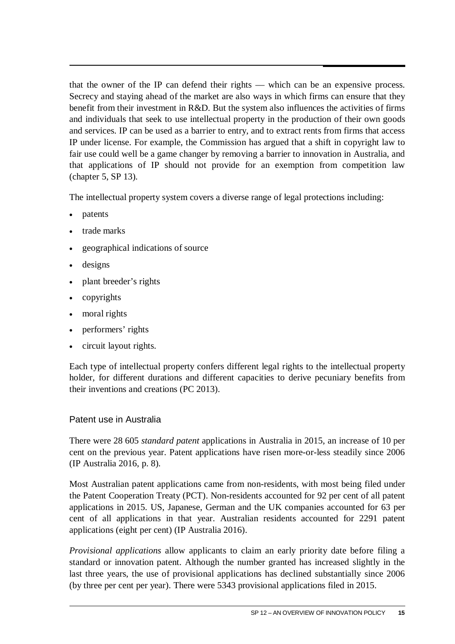that the owner of the IP can defend their rights — which can be an expensive process. Secrecy and staying ahead of the market are also ways in which firms can ensure that they benefit from their investment in R&D. But the system also influences the activities of firms and individuals that seek to use intellectual property in the production of their own goods and services. IP can be used as a barrier to entry, and to extract rents from firms that access IP under license. For example, the Commission has argued that a shift in copyright law to fair use could well be a game changer by removing a barrier to innovation in Australia, and that applications of IP should not provide for an exemption from competition law (chapter 5, SP 13).

The intellectual property system covers a diverse range of legal protections including:

- patents
- trade marks
- geographical indications of source
- designs
- plant breeder's rights
- copyrights
- moral rights
- performers' rights
- circuit layout rights.

Each type of intellectual property confers different legal rights to the intellectual property holder, for different durations and different capacities to derive pecuniary benefits from their inventions and creations (PC 2013).

#### Patent use in Australia

There were 28 605 *standard patent* applications in Australia in 2015, an increase of 10 per cent on the previous year. Patent applications have risen more-or-less steadily since 2006 (IP Australia 2016, p. 8).

Most Australian patent applications came from non-residents, with most being filed under the Patent Cooperation Treaty (PCT). Non-residents accounted for 92 per cent of all patent applications in 2015. US, Japanese, German and the UK companies accounted for 63 per cent of all applications in that year. Australian residents accounted for 2291 patent applications (eight per cent) (IP Australia 2016).

*Provisional applications* allow applicants to claim an early priority date before filing a standard or innovation patent. Although the number granted has increased slightly in the last three years, the use of provisional applications has declined substantially since 2006 (by three per cent per year). There were 5343 provisional applications filed in 2015.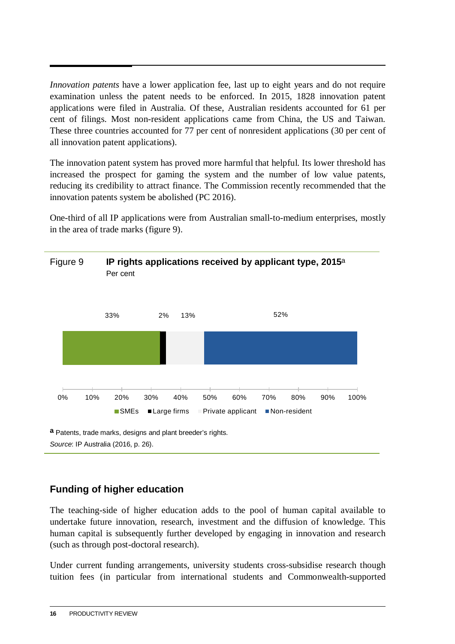*Innovation patents* have a lower application fee, last up to eight years and do not require examination unless the patent needs to be enforced. In 2015, 1828 innovation patent applications were filed in Australia. Of these, Australian residents accounted for 61 per cent of filings. Most non-resident applications came from China, the US and Taiwan. These three countries accounted for 77 per cent of nonresident applications (30 per cent of all innovation patent applications).

The innovation patent system has proved more harmful that helpful. Its lower threshold has increased the prospect for gaming the system and the number of low value patents, reducing its credibility to attract finance. The Commission recently recommended that the innovation patents system be abolished (PC 2016).

One-third of all IP applications were from Australian small-to-medium enterprises, mostly in the area of trade marks (figure 9).



#### **Funding of higher education**

The teaching-side of higher education adds to the pool of human capital available to undertake future innovation, research, investment and the diffusion of knowledge. This human capital is subsequently further developed by engaging in innovation and research (such as through post-doctoral research).

Under current funding arrangements, university students cross-subsidise research though tuition fees (in particular from international students and Commonwealth-supported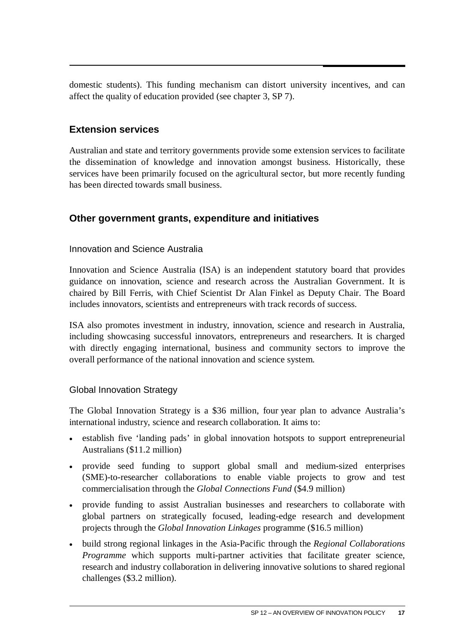domestic students). This funding mechanism can distort university incentives, and can affect the quality of education provided (see chapter 3, SP 7).

#### **Extension services**

Australian and state and territory governments provide some extension services to facilitate the dissemination of knowledge and innovation amongst business. Historically, these services have been primarily focused on the agricultural sector, but more recently funding has been directed towards small business.

#### **Other government grants, expenditure and initiatives**

#### Innovation and Science Australia

Innovation and Science Australia (ISA) is an independent statutory board that provides guidance on innovation, science and research across the Australian Government. It is chaired by Bill Ferris, with Chief Scientist Dr Alan Finkel as Deputy Chair. The Board includes innovators, scientists and entrepreneurs with track records of success.

ISA also promotes investment in industry, innovation, science and research in Australia, including showcasing successful innovators, entrepreneurs and researchers. It is charged with directly engaging international, business and community sectors to improve the overall performance of the national innovation and science system.

#### Global Innovation Strategy

The Global Innovation Strategy is a \$36 million, four year plan to advance Australia's international industry, science and research collaboration. It aims to:

- establish five 'landing pads' in global innovation hotspots to support entrepreneurial Australians (\$11.2 million)
- provide seed funding to support global small and medium-sized enterprises (SME)-to-researcher collaborations to enable viable projects to grow and test commercialisation through the *Global Connections Fund* (\$4.9 million)
- provide funding to assist Australian businesses and researchers to collaborate with global partners on strategically focused, leading-edge research and development projects through the *Global Innovation Linkages* programme (\$16.5 million)
- build strong regional linkages in the Asia-Pacific through the *Regional Collaborations Programme* which supports multi-partner activities that facilitate greater science, research and industry collaboration in delivering innovative solutions to shared regional challenges (\$3.2 million).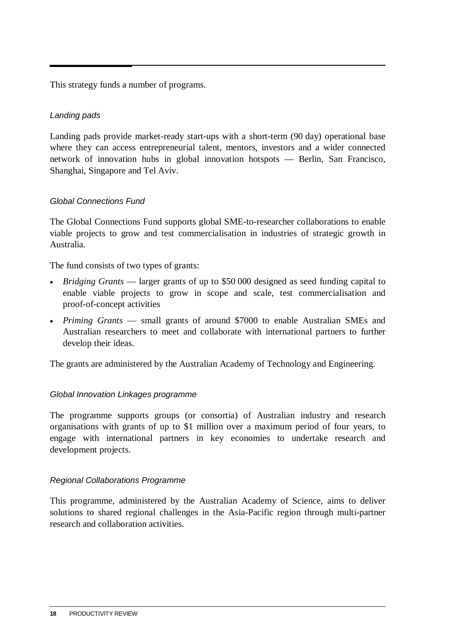This strategy funds a number of programs.

#### *Landing pads*

Landing pads provide market-ready start-ups with a short-term (90 day) operational base where they can access entrepreneurial talent, mentors, investors and a wider connected network of innovation hubs in global innovation hotspots — Berlin, San Francisco, Shanghai, Singapore and Tel Aviv.

#### *Global Connections Fund*

The Global Connections Fund supports global SME-to-researcher collaborations to enable viable projects to grow and test commercialisation in industries of strategic growth in Australia.

The fund consists of two types of grants:

- *Bridging Grants* larger grants of up to \$50 000 designed as seed funding capital to enable viable projects to grow in scope and scale, test commercialisation and proof-of-concept activities
- *Priming Grants* small grants of around \$7000 to enable Australian SMEs and Australian researchers to meet and collaborate with international partners to further develop their ideas.

The grants are administered by the Australian Academy of Technology and Engineering.

#### *Global Innovation Linkages programme*

The programme supports groups (or consortia) of Australian industry and research organisations with grants of up to \$1 million over a maximum period of four years, to engage with international partners in key economies to undertake research and development projects.

#### *Regional Collaborations Programme*

This programme, administered by the Australian Academy of Science, aims to deliver solutions to shared regional challenges in the Asia-Pacific region through multi-partner research and collaboration activities.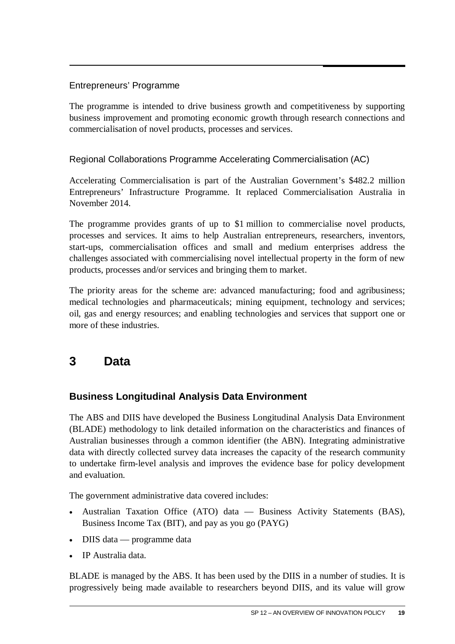#### <span id="page-24-0"></span>Entrepreneurs' Programme

The programme is intended to drive business growth and competitiveness by supporting business improvement and promoting economic growth through research connections and commercialisation of novel products, processes and services.

Regional Collaborations Programme Accelerating Commercialisation (AC)

Accelerating Commercialisation is part of the Australian Government's \$482.2 million Entrepreneurs' Infrastructure Programme. It replaced Commercialisation Australia in November 2014.

The programme provides grants of up to \$1 million to commercialise novel products, processes and services. It aims to help Australian entrepreneurs, researchers, inventors, start-ups, commercialisation offices and small and medium enterprises address the challenges associated with commercialising novel intellectual property in the form of new products, processes and/or services and bringing them to market.

The priority areas for the scheme are: advanced manufacturing; food and agribusiness; medical technologies and pharmaceuticals; mining equipment, technology and services; oil, gas and energy resources; and enabling technologies and services that support one or more of these industries.

### **3 Data**

#### **Business Longitudinal Analysis Data Environment**

The ABS and DIIS have developed the Business Longitudinal Analysis Data Environment (BLADE) methodology to link detailed information on the characteristics and finances of Australian businesses through a common identifier (the ABN). Integrating administrative data with directly collected survey data increases the capacity of the research community to undertake firm-level analysis and improves the evidence base for policy development and evaluation.

The government administrative data covered includes:

- Australian Taxation Office (ATO) data Business Activity Statements (BAS), Business Income Tax (BIT), and pay as you go (PAYG)
- DIIS data programme data
- IP Australia data.

BLADE is managed by the ABS. It has been used by the DIIS in a number of studies. It is progressively being made available to researchers beyond DIIS, and its value will grow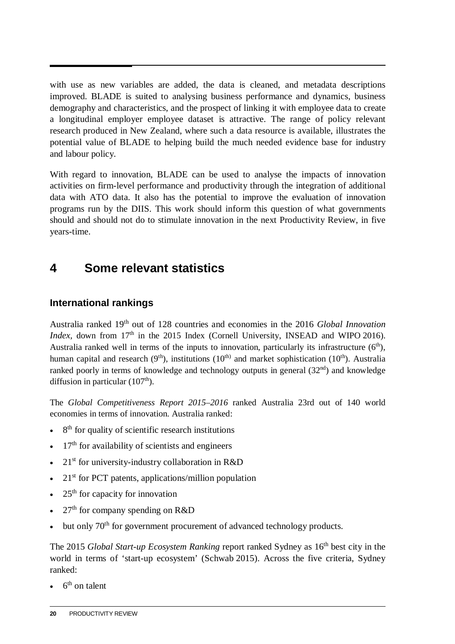<span id="page-25-0"></span>with use as new variables are added, the data is cleaned, and metadata descriptions improved. BLADE is suited to analysing business performance and dynamics, business demography and characteristics, and the prospect of linking it with employee data to create a longitudinal employer employee dataset is attractive. The range of policy relevant research produced in New Zealand, where such a data resource is available, illustrates the potential value of BLADE to helping build the much needed evidence base for industry and labour policy.

With regard to innovation, BLADE can be used to analyse the impacts of innovation activities on firm-level performance and productivity through the integration of additional data with ATO data. It also has the potential to improve the evaluation of innovation programs run by the DIIS. This work should inform this question of what governments should and should not do to stimulate innovation in the next Productivity Review, in five years-time.

### **4 Some relevant statistics**

#### **International rankings**

Australia ranked 19th out of 128 countries and economies in the 2016 *Global Innovation Index*, down from 17<sup>th</sup> in the 2015 Index (Cornell University, INSEAD and WIPO 2016). Australia ranked well in terms of the inputs to innovation, particularly its infrastructure  $(6<sup>th</sup>)$ , human capital and research  $(9<sup>th</sup>)$ , institutions  $(10<sup>th</sup>)$  and market sophistication  $(10<sup>th</sup>)$ . Australia ranked poorly in terms of knowledge and technology outputs in general  $(32<sup>nd</sup>)$  and knowledge diffusion in particular  $(107<sup>th</sup>)$ .

The *Global Competitiveness Report 2015–2016* ranked Australia 23rd out of 140 world economies in terms of innovation. Australia ranked:

- 8<sup>th</sup> for quality of scientific research institutions
- $17<sup>th</sup>$  for availability of scientists and engineers
- $21<sup>st</sup>$  for university-industry collaboration in R&D
- $21<sup>st</sup>$  for PCT patents, applications/million population
- $25<sup>th</sup>$  for capacity for innovation
- 27<sup>th</sup> for company spending on R&D
- but only 70<sup>th</sup> for government procurement of advanced technology products.

The 2015 *Global Start-up Ecosystem Ranking* report ranked Sydney as 16<sup>th</sup> best city in the world in terms of 'start-up ecosystem' (Schwab 2015). Across the five criteria, Sydney ranked:

 $6<sup>th</sup>$  on talent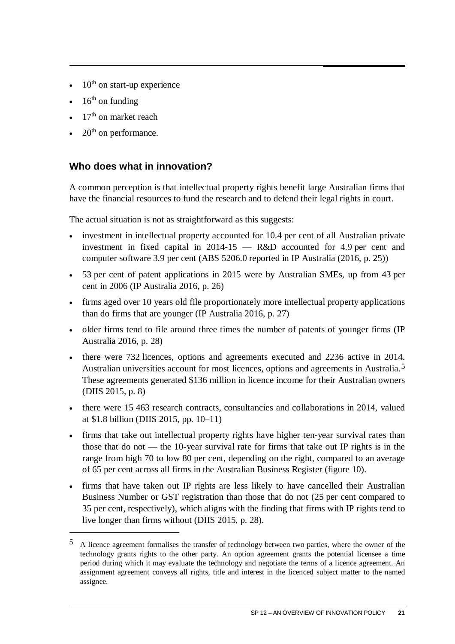- $\bullet$  10<sup>th</sup> on start-up experience
- $\cdot$  16<sup>th</sup> on funding

 $\overline{a}$ 

- $17<sup>th</sup>$  on market reach
- $20<sup>th</sup>$  on performance.

#### **Who does what in innovation?**

A common perception is that intellectual property rights benefit large Australian firms that have the financial resources to fund the research and to defend their legal rights in court.

The actual situation is not as straightforward as this suggests:

- investment in intellectual property accounted for 10.4 per cent of all Australian private investment in fixed capital in 2014-15 — R&D accounted for 4.9 per cent and computer software 3.9 per cent (ABS 5206.0 reported in IP Australia (2016, p. 25))
- 53 per cent of patent applications in 2015 were by Australian SMEs, up from 43 per cent in 2006 (IP Australia 2016, p. 26)
- firms aged over 10 years old file proportionately more intellectual property applications than do firms that are younger (IP Australia 2016, p. 27)
- older firms tend to file around three times the number of patents of younger firms (IP Australia 2016, p. 28)
- there were 732 licences, options and agreements executed and 2236 active in 2014. Australian universities account for most licences, options and agreements in Australia.[5](#page-26-0) These agreements generated \$136 million in licence income for their Australian owners (DIIS 2015, p. 8)
- there were 15 463 research contracts, consultancies and collaborations in 2014, valued at \$1.8 billion (DIIS 2015, pp. 10–11)
- firms that take out intellectual property rights have higher ten-year survival rates than those that do not — the 10-year survival rate for firms that take out IP rights is in the range from high 70 to low 80 per cent, depending on the right, compared to an average of 65 per cent across all firms in the Australian Business Register (figure 10).
- firms that have taken out IP rights are less likely to have cancelled their Australian Business Number or GST registration than those that do not (25 per cent compared to 35 per cent, respectively), which aligns with the finding that firms with IP rights tend to live longer than firms without (DIIS 2015, p. 28).

<span id="page-26-0"></span><sup>5</sup> A licence agreement formalises the transfer of technology between two parties, where the owner of the technology grants rights to the other party. An option agreement grants the potential licensee a time period during which it may evaluate the technology and negotiate the terms of a licence agreement. An assignment agreement conveys all rights, title and interest in the licenced subject matter to the named assignee.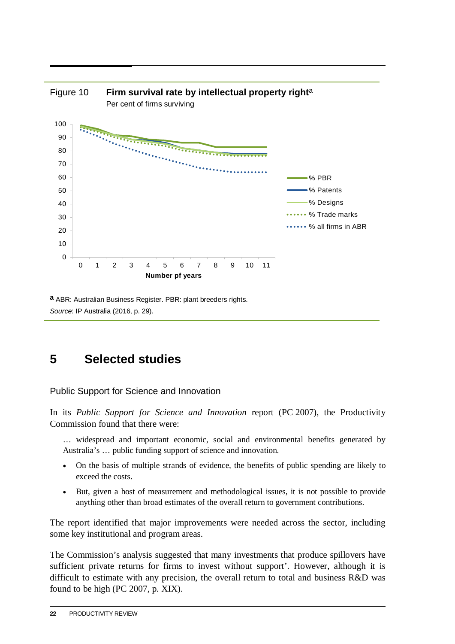<span id="page-27-0"></span>

**a** ABR: Australian Business Register. PBR: plant breeders rights. *Source*: IP Australia (2016, p. 29).

## **5 Selected studies**

Public Support for Science and Innovation

In its *Public Support for Science and Innovation* report (PC 2007), the Productivity Commission found that there were:

- … widespread and important economic, social and environmental benefits generated by Australia's … public funding support of science and innovation.
- On the basis of multiple strands of evidence, the benefits of public spending are likely to exceed the costs.
- But, given a host of measurement and methodological issues, it is not possible to provide anything other than broad estimates of the overall return to government contributions.

The report identified that major improvements were needed across the sector, including some key institutional and program areas.

The Commission's analysis suggested that many investments that produce spillovers have sufficient private returns for firms to invest without support'. However, although it is difficult to estimate with any precision, the overall return to total and business R&D was found to be high (PC 2007, p. XIX).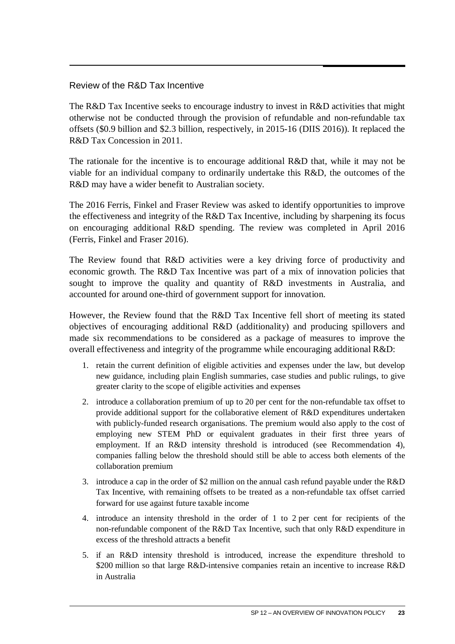#### Review of the R&D Tax Incentive

The R&D Tax Incentive seeks to encourage industry to invest in R&D activities that might otherwise not be conducted through the provision of refundable and non-refundable tax offsets (\$0.9 billion and \$2.3 billion, respectively, in 2015-16 (DIIS 2016)). It replaced the R&D Tax Concession in 2011.

The rationale for the incentive is to encourage additional R&D that, while it may not be viable for an individual company to ordinarily undertake this R&D, the outcomes of the R&D may have a wider benefit to Australian society.

The 2016 Ferris, Finkel and Fraser Review was asked to identify opportunities to improve the effectiveness and integrity of the R&D Tax Incentive, including by sharpening its focus on encouraging additional R&D spending. The review was completed in April 2016 (Ferris, Finkel and Fraser 2016).

The Review found that R&D activities were a key driving force of productivity and economic growth. The R&D Tax Incentive was part of a mix of innovation policies that sought to improve the quality and quantity of R&D investments in Australia, and accounted for around one-third of government support for innovation.

However, the Review found that the R&D Tax Incentive fell short of meeting its stated objectives of encouraging additional R&D (additionality) and producing spillovers and made six recommendations to be considered as a package of measures to improve the overall effectiveness and integrity of the programme while encouraging additional R&D:

- 1. retain the current definition of eligible activities and expenses under the law, but develop new guidance, including plain English summaries, case studies and public rulings, to give greater clarity to the scope of eligible activities and expenses
- 2. introduce a collaboration premium of up to 20 per cent for the non-refundable tax offset to provide additional support for the collaborative element of R&D expenditures undertaken with publicly-funded research organisations. The premium would also apply to the cost of employing new STEM PhD or equivalent graduates in their first three years of employment. If an R&D intensity threshold is introduced (see Recommendation 4), companies falling below the threshold should still be able to access both elements of the collaboration premium
- 3. introduce a cap in the order of \$2 million on the annual cash refund payable under the R&D Tax Incentive, with remaining offsets to be treated as a non-refundable tax offset carried forward for use against future taxable income
- 4. introduce an intensity threshold in the order of 1 to 2 per cent for recipients of the non-refundable component of the R&D Tax Incentive, such that only R&D expenditure in excess of the threshold attracts a benefit
- 5. if an R&D intensity threshold is introduced, increase the expenditure threshold to \$200 million so that large R&D-intensive companies retain an incentive to increase R&D in Australia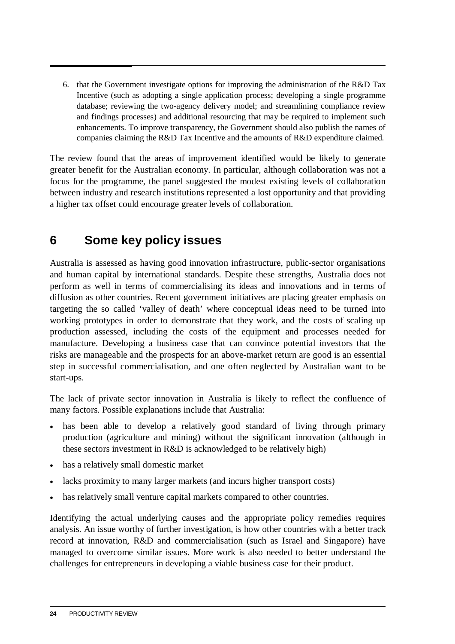<span id="page-29-0"></span>6. that the Government investigate options for improving the administration of the R&D Tax Incentive (such as adopting a single application process; developing a single programme database; reviewing the two-agency delivery model; and streamlining compliance review and findings processes) and additional resourcing that may be required to implement such enhancements. To improve transparency, the Government should also publish the names of companies claiming the R&D Tax Incentive and the amounts of R&D expenditure claimed.

The review found that the areas of improvement identified would be likely to generate greater benefit for the Australian economy. In particular, although collaboration was not a focus for the programme, the panel suggested the modest existing levels of collaboration between industry and research institutions represented a lost opportunity and that providing a higher tax offset could encourage greater levels of collaboration.

### **6 Some key policy issues**

Australia is assessed as having good innovation infrastructure, public-sector organisations and human capital by international standards. Despite these strengths, Australia does not perform as well in terms of commercialising its ideas and innovations and in terms of diffusion as other countries. Recent government initiatives are placing greater emphasis on targeting the so called 'valley of death' where conceptual ideas need to be turned into working prototypes in order to demonstrate that they work, and the costs of scaling up production assessed, including the costs of the equipment and processes needed for manufacture. Developing a business case that can convince potential investors that the risks are manageable and the prospects for an above-market return are good is an essential step in successful commercialisation, and one often neglected by Australian want to be start-ups.

The lack of private sector innovation in Australia is likely to reflect the confluence of many factors. Possible explanations include that Australia:

- has been able to develop a relatively good standard of living through primary production (agriculture and mining) without the significant innovation (although in these sectors investment in R&D is acknowledged to be relatively high)
- has a relatively small domestic market
- lacks proximity to many larger markets (and incurs higher transport costs)
- has relatively small venture capital markets compared to other countries.

Identifying the actual underlying causes and the appropriate policy remedies requires analysis. An issue worthy of further investigation, is how other countries with a better track record at innovation, R&D and commercialisation (such as Israel and Singapore) have managed to overcome similar issues. More work is also needed to better understand the challenges for entrepreneurs in developing a viable business case for their product.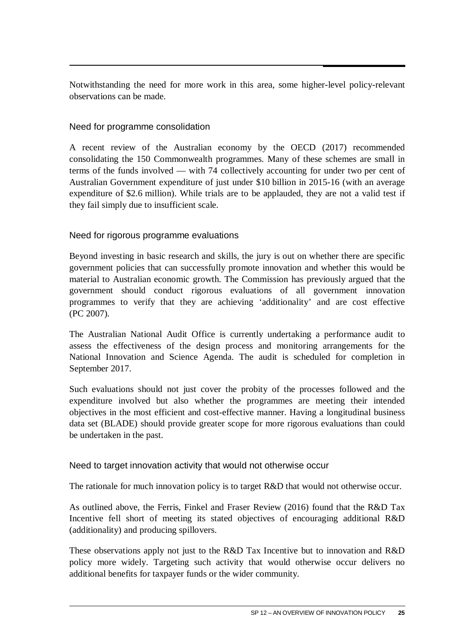Notwithstanding the need for more work in this area, some higher-level policy-relevant observations can be made.

#### Need for programme consolidation

A recent review of the Australian economy by the OECD (2017) recommended consolidating the 150 Commonwealth programmes. Many of these schemes are small in terms of the funds involved — with 74 collectively accounting for under two per cent of Australian Government expenditure of just under \$10 billion in 2015-16 (with an average expenditure of \$2.6 million). While trials are to be applauded, they are not a valid test if they fail simply due to insufficient scale.

#### Need for rigorous programme evaluations

Beyond investing in basic research and skills, the jury is out on whether there are specific government policies that can successfully promote innovation and whether this would be material to Australian economic growth. The Commission has previously argued that the government should conduct rigorous evaluations of all government innovation programmes to verify that they are achieving 'additionality' and are cost effective (PC 2007).

The Australian National Audit Office is currently undertaking a performance audit to assess the effectiveness of the design process and monitoring arrangements for the National Innovation and Science Agenda. The audit is scheduled for completion in September 2017.

Such evaluations should not just cover the probity of the processes followed and the expenditure involved but also whether the programmes are meeting their intended objectives in the most efficient and cost-effective manner. Having a longitudinal business data set (BLADE) should provide greater scope for more rigorous evaluations than could be undertaken in the past.

#### Need to target innovation activity that would not otherwise occur

The rationale for much innovation policy is to target R&D that would not otherwise occur.

As outlined above, the Ferris, Finkel and Fraser Review (2016) found that the R&D Tax Incentive fell short of meeting its stated objectives of encouraging additional R&D (additionality) and producing spillovers.

These observations apply not just to the R&D Tax Incentive but to innovation and R&D policy more widely. Targeting such activity that would otherwise occur delivers no additional benefits for taxpayer funds or the wider community.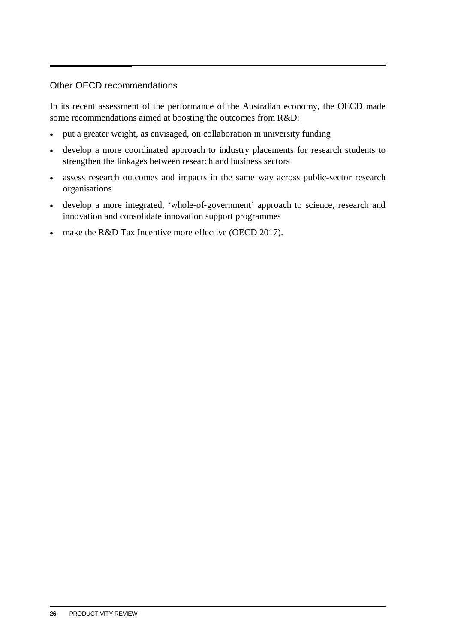#### Other OECD recommendations

In its recent assessment of the performance of the Australian economy, the OECD made some recommendations aimed at boosting the outcomes from R&D:

- put a greater weight, as envisaged, on collaboration in university funding
- develop a more coordinated approach to industry placements for research students to strengthen the linkages between research and business sectors
- assess research outcomes and impacts in the same way across public-sector research organisations
- develop a more integrated, 'whole-of-government' approach to science, research and innovation and consolidate innovation support programmes
- make the R&D Tax Incentive more effective (OECD 2017).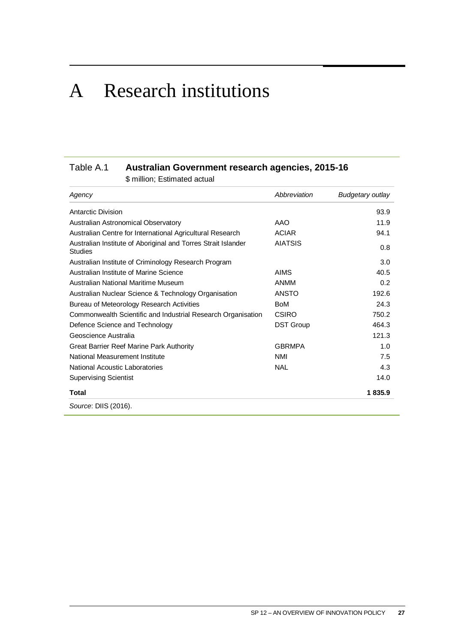## <span id="page-32-0"></span>A Research institutions

#### Table A.1 **Australian Government research agencies, 2015-16**

\$ million; Estimated actual

| Agency                                                                   | Abbreviation     | <b>Budgetary outlay</b> |
|--------------------------------------------------------------------------|------------------|-------------------------|
| Antarctic Division                                                       |                  | 93.9                    |
| Australian Astronomical Observatory                                      | AAO              | 11.9                    |
| Australian Centre for International Agricultural Research                | <b>ACIAR</b>     | 94.1                    |
| Australian Institute of Aboriginal and Torres Strait Islander<br>Studies | <b>AIATSIS</b>   | 0.8                     |
| Australian Institute of Criminology Research Program                     |                  | 3.0                     |
| Australian Institute of Marine Science                                   | <b>AIMS</b>      | 40.5                    |
| Australian National Maritime Museum                                      | ANMM             | 0.2                     |
| Australian Nuclear Science & Technology Organisation                     | <b>ANSTO</b>     | 192.6                   |
| Bureau of Meteorology Research Activities                                | <b>BoM</b>       | 24.3                    |
| Commonwealth Scientific and Industrial Research Organisation             | CSIRO            | 750.2                   |
| Defence Science and Technology                                           | <b>DST Group</b> | 464.3                   |
| Geoscience Australia                                                     |                  | 121.3                   |
| Great Barrier Reef Marine Park Authority                                 | <b>GBRMPA</b>    | 1.0                     |
| National Measurement Institute                                           | <b>NMI</b>       | 7.5                     |
| National Acoustic Laboratories                                           | <b>NAL</b>       | 4.3                     |
| <b>Supervising Scientist</b>                                             |                  | 14.0                    |
| Total                                                                    |                  | 1835.9                  |
| Source: DIIS (2016).                                                     |                  |                         |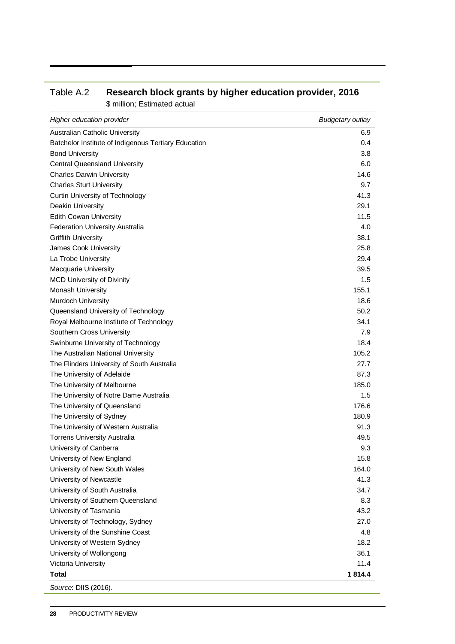| Higher education provider                            | <b>Budgetary outlay</b> |
|------------------------------------------------------|-------------------------|
| <b>Australian Catholic University</b>                | 6.9                     |
| Batchelor Institute of Indigenous Tertiary Education | 0.4                     |
| <b>Bond University</b>                               | 3.8                     |
| <b>Central Queensland University</b>                 | 6.0                     |
| <b>Charles Darwin University</b>                     | 14.6                    |
| <b>Charles Sturt University</b>                      | 9.7                     |
| <b>Curtin University of Technology</b>               | 41.3                    |
| Deakin University                                    | 29.1                    |
| <b>Edith Cowan University</b>                        | 11.5                    |
| <b>Federation University Australia</b>               | 4.0                     |
| <b>Griffith University</b>                           | 38.1                    |
| James Cook University                                | 25.8                    |
| La Trobe University                                  | 29.4                    |
| Macquarie University                                 | 39.5                    |
| <b>MCD University of Divinity</b>                    | 1.5                     |
| <b>Monash University</b>                             | 155.1                   |
| Murdoch University                                   | 18.6                    |
| Queensland University of Technology                  | 50.2                    |
| Royal Melbourne Institute of Technology              | 34.1                    |
| Southern Cross University                            | 7.9                     |
| Swinburne University of Technology                   | 18.4                    |
| The Australian National University                   | 105.2                   |
| The Flinders University of South Australia           | 27.7                    |
| The University of Adelaide                           | 87.3                    |
| The University of Melbourne                          | 185.0                   |
| The University of Notre Dame Australia               | $1.5\,$                 |
| The University of Queensland                         | 176.6                   |
| The University of Sydney                             | 180.9                   |
| The University of Western Australia                  | 91.3                    |
| <b>Torrens University Australia</b>                  | 49.5                    |
| University of Canberra                               | 9.3                     |
| University of New England                            | 15.8                    |
| University of New South Wales                        | 164.0                   |
| University of Newcastle                              | 41.3                    |
| University of South Australia                        | 34.7                    |
| University of Southern Queensland                    | 8.3                     |
| University of Tasmania                               | 43.2                    |
| University of Technology, Sydney                     | 27.0                    |
| University of the Sunshine Coast                     | 4.8                     |
| University of Western Sydney                         | 18.2                    |
| University of Wollongong                             | 36.1                    |
| Victoria University                                  | 11.4                    |
| Total                                                | 1814.4                  |
| Source: DIIS (2016).                                 |                         |

#### Table A.2 **Research block grants by higher education provider, 2016** \$ million; Estimated actual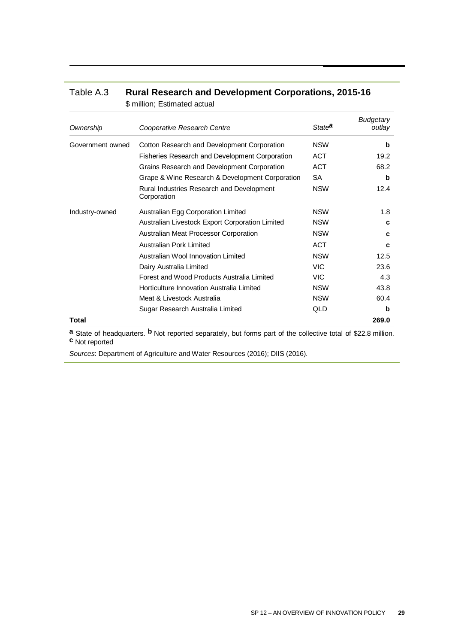| Table A.3 | <b>Rural Research and Development Corporations, 2015-16</b> |
|-----------|-------------------------------------------------------------|
|           | \$ million; Estimated actual                                |

| Ownership        | Cooperative Research Centre                              | State <sup>a</sup> | <b>Budgetary</b><br>outlay |
|------------------|----------------------------------------------------------|--------------------|----------------------------|
| Government owned | Cotton Research and Development Corporation              | <b>NSW</b>         | b                          |
|                  | <b>Fisheries Research and Development Corporation</b>    | <b>ACT</b>         | 19.2                       |
|                  | Grains Research and Development Corporation              | ACT                | 68.2                       |
|                  | Grape & Wine Research & Development Corporation          | <b>SA</b>          | b                          |
|                  | Rural Industries Research and Development<br>Corporation | <b>NSW</b>         | 12.4                       |
| Industry-owned   | Australian Egg Corporation Limited                       | <b>NSW</b>         | 1.8                        |
|                  | Australian Livestock Export Corporation Limited          | <b>NSW</b>         | c                          |
|                  | Australian Meat Processor Corporation                    | <b>NSW</b>         | C                          |
|                  | Australian Pork Limited                                  | <b>ACT</b>         | C                          |
|                  | Australian Wool Innovation Limited                       | <b>NSW</b>         | 12.5                       |
|                  | Dairy Australia Limited                                  | <b>VIC</b>         | 23.6                       |
|                  | Forest and Wood Products Australia Limited               | VIC.               | 4.3                        |
|                  | Horticulture Innovation Australia Limited                | <b>NSW</b>         | 43.8                       |
|                  | Meat & Livestock Australia                               | <b>NSW</b>         | 60.4                       |
|                  | Sugar Research Australia Limited                         | QLD                | b                          |
| Total            |                                                          |                    | 269.0                      |

**a** State of headquarters. **b** Not reported separately, but forms part of the collective total of \$22.8 million. **c** Not reported

*Sources*: Department of Agriculture and Water Resources (2016); DIIS (2016).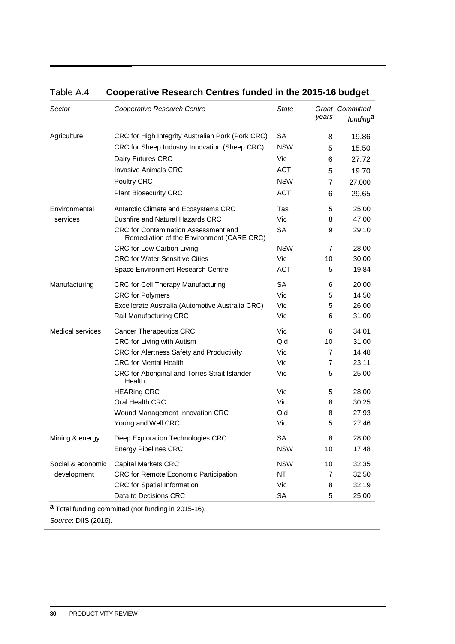| Sector                  | Cooperative Research Centre                                                       | State      | years | <b>Grant Committed</b><br>funding <sup>a</sup> |
|-------------------------|-----------------------------------------------------------------------------------|------------|-------|------------------------------------------------|
| Agriculture             | CRC for High Integrity Australian Pork (Pork CRC)                                 | SA         | 8     | 19.86                                          |
|                         | CRC for Sheep Industry Innovation (Sheep CRC)                                     | <b>NSW</b> | 5     | 15.50                                          |
|                         | Dairy Futures CRC                                                                 | Vic        | 6     | 27.72                                          |
|                         | <b>Invasive Animals CRC</b>                                                       | <b>ACT</b> | 5     | 19.70                                          |
|                         | Poultry CRC                                                                       | <b>NSW</b> | 7     | 27.000                                         |
|                         | <b>Plant Biosecurity CRC</b>                                                      | <b>ACT</b> | 6     | 29.65                                          |
| Environmental           | Antarctic Climate and Ecosystems CRC                                              | Tas        | 5     | 25.00                                          |
| services                | <b>Bushfire and Natural Hazards CRC</b>                                           | Vic        | 8     | 47.00                                          |
|                         | CRC for Contamination Assessment and<br>Remediation of the Environment (CARE CRC) | <b>SA</b>  | 9     | 29.10                                          |
|                         | CRC for Low Carbon Living                                                         | <b>NSW</b> | 7     | 28.00                                          |
|                         | <b>CRC for Water Sensitive Cities</b>                                             | Vic        | 10    | 30.00                                          |
|                         | Space Environment Research Centre                                                 | <b>ACT</b> | 5     | 19.84                                          |
| Manufacturing           | CRC for Cell Therapy Manufacturing                                                | <b>SA</b>  | 6     | 20.00                                          |
|                         | <b>CRC</b> for Polymers                                                           | Vic        | 5     | 14.50                                          |
|                         | Excellerate Australia (Automotive Australia CRC)                                  | Vic        | 5     | 26.00                                          |
|                         | Rail Manufacturing CRC                                                            | Vic        | 6     | 31.00                                          |
| <b>Medical services</b> | <b>Cancer Therapeutics CRC</b>                                                    | Vic        | 6     | 34.01                                          |
|                         | CRC for Living with Autism                                                        | Qld        | 10    | 31.00                                          |
|                         | CRC for Alertness Safety and Productivity                                         | Vic        | 7     | 14.48                                          |
|                         | <b>CRC</b> for Mental Health                                                      | Vic        | 7     | 23.11                                          |
|                         | CRC for Aboriginal and Torres Strait Islander<br>Health                           | Vic        | 5     | 25.00                                          |
|                         | <b>HEARing CRC</b>                                                                | Vic        | 5     | 28.00                                          |
|                         | Oral Health CRC                                                                   | Vic        | 8     | 30.25                                          |
|                         | Wound Management Innovation CRC                                                   | Qld        | 8     | 27.93                                          |
|                         | Young and Well CRC                                                                | Vic        | 5     | 27.46                                          |
| Mining & energy         | Deep Exploration Technologies CRC                                                 | <b>SA</b>  | 8     | 28.00                                          |
|                         | <b>Energy Pipelines CRC</b>                                                       | <b>NSW</b> | 10    | 17.48                                          |
| Social & economic       | <b>Capital Markets CRC</b>                                                        | <b>NSW</b> | 10    | 32.35                                          |
| development             | CRC for Remote Economic Participation                                             | <b>NT</b>  | 7     | 32.50                                          |
|                         | CRC for Spatial Information                                                       | Vic        | 8     | 32.19                                          |
|                         | Data to Decisions CRC                                                             | SA         | 5     | 25.00                                          |

#### Table A.4 **Cooperative Research Centres funded in the 2015-16 budget**

*Source*: DIIS (2016).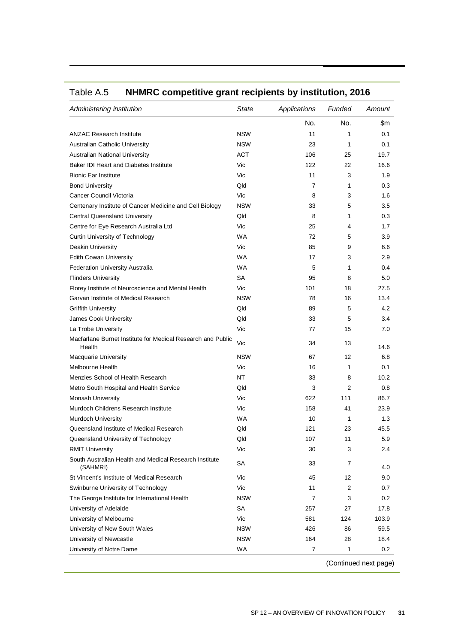| Administering institution                                             | <b>State</b> | Applications | Funded | Amount                |
|-----------------------------------------------------------------------|--------------|--------------|--------|-----------------------|
|                                                                       |              | No.          | No.    | \$m                   |
| <b>ANZAC Research Institute</b>                                       | <b>NSW</b>   | 11           | 1      | 0.1                   |
| Australian Catholic University                                        | <b>NSW</b>   | 23           | 1      | 0.1                   |
| <b>Australian National University</b>                                 | <b>ACT</b>   | 106          | 25     | 19.7                  |
| Baker IDI Heart and Diabetes Institute                                | Vic          | 122          | 22     | 16.6                  |
| <b>Bionic Ear Institute</b>                                           | Vic          | 11           | 3      | 1.9                   |
| <b>Bond University</b>                                                | Qld          | 7            | 1      | 0.3                   |
| Cancer Council Victoria                                               | Vic          | 8            | 3      | 1.6                   |
| Centenary Institute of Cancer Medicine and Cell Biology               | <b>NSW</b>   | 33           | 5      | 3.5                   |
| <b>Central Queensland University</b>                                  | Qld          | 8            | 1      | 0.3                   |
| Centre for Eye Research Australia Ltd                                 | Vic          | 25           | 4      | 1.7                   |
| Curtin University of Technology                                       | <b>WA</b>    | 72           | 5      | 3.9                   |
| <b>Deakin University</b>                                              | Vic          | 85           | 9      | 6.6                   |
| <b>Edith Cowan University</b>                                         | <b>WA</b>    | 17           | 3      | 2.9                   |
| <b>Federation University Australia</b>                                | <b>WA</b>    | 5            | 1      | 0.4                   |
| <b>Flinders University</b>                                            | <b>SA</b>    | 95           | 8      | 5.0                   |
| Florey Institute of Neuroscience and Mental Health                    | Vic          | 101          | 18     | 27.5                  |
| Garvan Institute of Medical Research                                  | <b>NSW</b>   | 78           | 16     | 13.4                  |
| <b>Griffith University</b>                                            | Qld          | 89           | 5      | 4.2                   |
| James Cook University                                                 | Qld          | 33           | 5      | 3.4                   |
| La Trobe University                                                   | Vic          | 77           | 15     | 7.0                   |
| Macfarlane Burnet Institute for Medical Research and Public<br>Health | Vic          | 34           | 13     | 14.6                  |
| <b>Macquarie University</b>                                           | <b>NSW</b>   | 67           | 12     | 6.8                   |
| <b>Melbourne Health</b>                                               | Vic          | 16           | 1      | 0.1                   |
| Menzies School of Health Research                                     | NT           | 33           | 8      | 10.2                  |
| Metro South Hospital and Health Service                               | Qld          | 3            | 2      | 0.8                   |
| Monash University                                                     | Vic          | 622          | 111    | 86.7                  |
| Murdoch Childrens Research Institute                                  | Vic          | 158          | 41     | 23.9                  |
| Murdoch University                                                    | <b>WA</b>    | 10           | 1      | 1.3                   |
| Queensland Institute of Medical Research                              | Qld          | 121          | 23     | 45.5                  |
| Queensland University of Technology                                   | Qld          | 107          | 11     | 5.9                   |
| <b>RMIT University</b>                                                | Vic          | 30           | 3      | 2.4                   |
| South Australian Health and Medical Research Institute<br>(SAHMRI)    | SA           | 33           | 7      | 4.0                   |
| St Vincent's Institute of Medical Research                            | Vic          | 45           | 12     | 9.0                   |
| Swinburne University of Technology                                    | Vic          | 11           | 2      | 0.7                   |
| The George Institute for International Health                         | <b>NSW</b>   | 7            | 3      | 0.2                   |
| University of Adelaide                                                | SA           | 257          | 27     | 17.8                  |
| University of Melbourne                                               | Vic          | 581          | 124    | 103.9                 |
| University of New South Wales                                         | <b>NSW</b>   | 426          | 86     | 59.5                  |
| University of Newcastle                                               | <b>NSW</b>   | 164          | 28     | 18.4                  |
| University of Notre Dame                                              | WA           | 7            | 1      | 0.2                   |
|                                                                       |              |              |        | (Continued next page) |

#### Table A.5 **NHMRC competitive grant recipients by institution, 2016**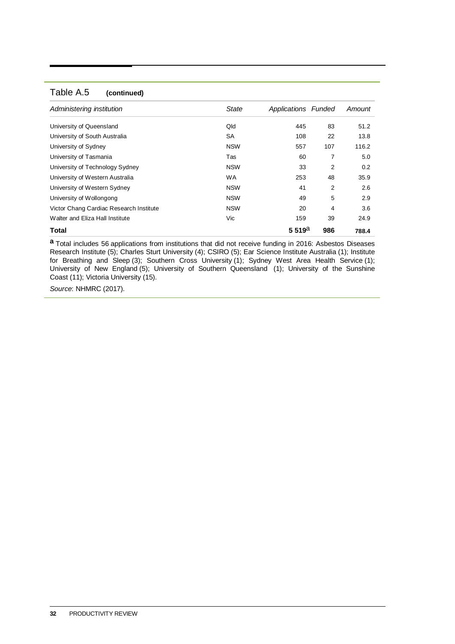#### Table A.5 **(continued)**

| Administering institution               | <b>State</b> | Applications Funded |     | Amount |
|-----------------------------------------|--------------|---------------------|-----|--------|
| University of Queensland                | Qld          | 445                 | 83  | 51.2   |
| University of South Australia           | <b>SA</b>    | 108                 | 22  | 13.8   |
| University of Sydney                    | <b>NSW</b>   | 557                 | 107 | 116.2  |
| University of Tasmania                  | Tas          | 60                  | 7   | 5.0    |
| University of Technology Sydney         | <b>NSW</b>   | 33                  | 2   | 0.2    |
| University of Western Australia         | <b>WA</b>    | 253                 | 48  | 35.9   |
| University of Western Sydney            | <b>NSW</b>   | 41                  | 2   | 2.6    |
| University of Wollongong                | <b>NSW</b>   | 49                  | 5   | 2.9    |
| Victor Chang Cardiac Research Institute | <b>NSW</b>   | 20                  | 4   | 3.6    |
| Walter and Eliza Hall Institute         | Vic          | 159                 | 39  | 24.9   |
| Total                                   |              | 5.519a              | 986 | 788.4  |

**a** Total includes 56 applications from institutions that did not receive funding in 2016: Asbestos Diseases Research Institute (5); Charles Sturt University (4); CSIRO (5); Ear Science Institute Australia (1); Institute for Breathing and Sleep (3); Southern Cross University (1); Sydney West Area Health Service (1); University of New England (5); University of Southern Queensland (1); University of the Sunshine Coast (11); Victoria University (15).

*Source*: NHMRC (2017).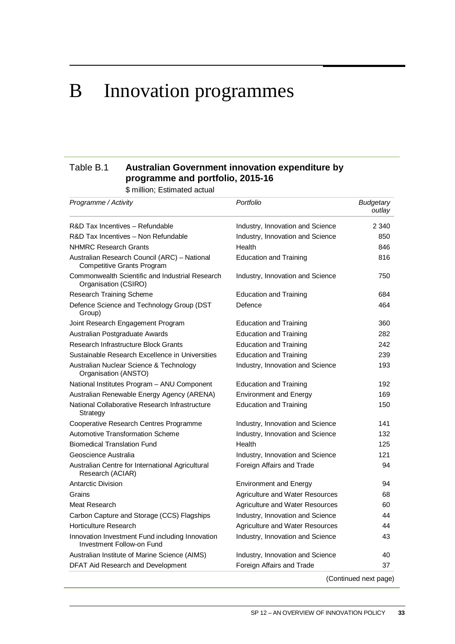## <span id="page-38-0"></span>B Innovation programmes

#### Table B.1 **Australian Government innovation expenditure by programme and portfolio, 2015-16**

\$ million; Estimated actual

| Programme / Activity                                                              | Portfolio                              | <b>Budgetary</b><br>outlay |
|-----------------------------------------------------------------------------------|----------------------------------------|----------------------------|
| R&D Tax Incentives - Refundable                                                   | Industry, Innovation and Science       | 2 3 4 0                    |
| R&D Tax Incentives - Non Refundable                                               | Industry, Innovation and Science       | 850                        |
| <b>NHMRC Research Grants</b>                                                      | Health                                 | 846                        |
| Australian Research Council (ARC) - National<br><b>Competitive Grants Program</b> | <b>Education and Training</b>          | 816                        |
| Commonwealth Scientific and Industrial Research<br>Organisation (CSIRO)           | Industry, Innovation and Science       | 750                        |
| <b>Research Training Scheme</b>                                                   | <b>Education and Training</b>          | 684                        |
| Defence Science and Technology Group (DST<br>Group)                               | Defence                                | 464                        |
| Joint Research Engagement Program                                                 | <b>Education and Training</b>          | 360                        |
| Australian Postgraduate Awards                                                    | <b>Education and Training</b>          | 282                        |
| Research Infrastructure Block Grants                                              | <b>Education and Training</b>          | 242                        |
| Sustainable Research Excellence in Universities                                   | <b>Education and Training</b>          | 239                        |
| Australian Nuclear Science & Technology<br>Organisation (ANSTO)                   | Industry, Innovation and Science       | 193                        |
| National Institutes Program - ANU Component                                       | <b>Education and Training</b>          | 192                        |
| Australian Renewable Energy Agency (ARENA)                                        | <b>Environment and Energy</b>          | 169                        |
| National Collaborative Research Infrastructure<br>Strategy                        | <b>Education and Training</b>          | 150                        |
| Cooperative Research Centres Programme                                            | Industry, Innovation and Science       | 141                        |
| Automotive Transformation Scheme                                                  | Industry, Innovation and Science       | 132                        |
| <b>Biomedical Translation Fund</b>                                                | Health                                 | 125                        |
| Geoscience Australia                                                              | Industry, Innovation and Science       | 121                        |
| Australian Centre for International Agricultural<br>Research (ACIAR)              | Foreign Affairs and Trade              | 94                         |
| <b>Antarctic Division</b>                                                         | <b>Environment and Energy</b>          | 94                         |
| Grains                                                                            | Agriculture and Water Resources        | 68                         |
| Meat Research                                                                     | Agriculture and Water Resources        | 60                         |
| Carbon Capture and Storage (CCS) Flagships                                        | Industry, Innovation and Science       | 44                         |
| <b>Horticulture Research</b>                                                      | <b>Agriculture and Water Resources</b> | 44                         |
| Innovation Investment Fund including Innovation<br>Investment Follow-on Fund      | Industry, Innovation and Science       | 43                         |
| Australian Institute of Marine Science (AIMS)                                     | Industry, Innovation and Science       | 40                         |
| DFAT Aid Research and Development                                                 | Foreign Affairs and Trade              | 37                         |

(Continued next page)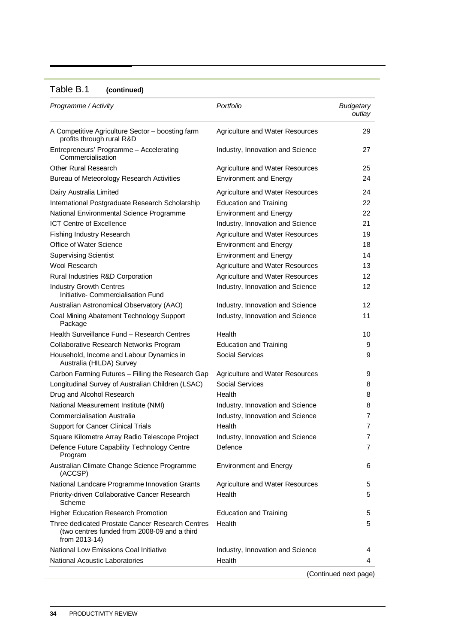#### Table B.1 **(continued)**

| Programme / Activity                                                                                              | Portfolio                              | <b>Budgetary</b><br>outlay |
|-------------------------------------------------------------------------------------------------------------------|----------------------------------------|----------------------------|
| A Competitive Agriculture Sector - boosting farm<br>profits through rural R&D                                     | Agriculture and Water Resources        | 29                         |
| Entrepreneurs' Programme - Accelerating<br>Commercialisation                                                      | Industry, Innovation and Science       | 27                         |
| <b>Other Rural Research</b>                                                                                       | <b>Agriculture and Water Resources</b> | 25                         |
| Bureau of Meteorology Research Activities                                                                         | <b>Environment and Energy</b>          | 24                         |
| Dairy Australia Limited                                                                                           | Agriculture and Water Resources        | 24                         |
| International Postgraduate Research Scholarship                                                                   | <b>Education and Training</b>          | 22                         |
| National Environmental Science Programme                                                                          | <b>Environment and Energy</b>          | 22                         |
| <b>ICT Centre of Excellence</b>                                                                                   | Industry, Innovation and Science       | 21                         |
| Fishing Industry Research                                                                                         | Agriculture and Water Resources        | 19                         |
| Office of Water Science                                                                                           | <b>Environment and Energy</b>          | 18                         |
| <b>Supervising Scientist</b>                                                                                      | <b>Environment and Energy</b>          | 14                         |
| Wool Research                                                                                                     | Agriculture and Water Resources        | 13                         |
| Rural Industries R&D Corporation                                                                                  | Agriculture and Water Resources        | 12                         |
| <b>Industry Growth Centres</b><br>Initiative- Commercialisation Fund                                              | Industry, Innovation and Science       | 12                         |
| Australian Astronomical Observatory (AAO)                                                                         | Industry, Innovation and Science       | 12                         |
| Coal Mining Abatement Technology Support<br>Package                                                               | Industry, Innovation and Science       | 11                         |
| Health Surveillance Fund - Research Centres                                                                       | Health                                 | 10                         |
| Collaborative Research Networks Program                                                                           | <b>Education and Training</b>          | 9                          |
| Household, Income and Labour Dynamics in<br>Australia (HILDA) Survey                                              | <b>Social Services</b>                 | 9                          |
| Carbon Farming Futures - Filling the Research Gap                                                                 | Agriculture and Water Resources        | 9                          |
| Longitudinal Survey of Australian Children (LSAC)                                                                 | <b>Social Services</b>                 | 8                          |
| Drug and Alcohol Research                                                                                         | Health                                 | 8                          |
| National Measurement Institute (NMI)                                                                              | Industry, Innovation and Science       | 8                          |
| <b>Commercialisation Australia</b>                                                                                | Industry, Innovation and Science       | 7                          |
| <b>Support for Cancer Clinical Trials</b>                                                                         | Health                                 | 7                          |
| Square Kilometre Array Radio Telescope Project                                                                    | Industry, Innovation and Science       | 7                          |
| Defence Future Capability Technology Centre<br>Program                                                            | Defence                                | 7                          |
| Australian Climate Change Science Programme<br>(ACCSP)                                                            | <b>Environment and Energy</b>          | 6                          |
| National Landcare Programme Innovation Grants                                                                     | Agriculture and Water Resources        | 5                          |
| Priority-driven Collaborative Cancer Research<br>Scheme                                                           | Health                                 | 5                          |
| <b>Higher Education Research Promotion</b>                                                                        | <b>Education and Training</b>          | 5                          |
| Three dedicated Prostate Cancer Research Centres<br>(two centres funded from 2008-09 and a third<br>from 2013-14) | Health                                 | 5                          |
| National Low Emissions Coal Initiative                                                                            | Industry, Innovation and Science       | 4                          |
| <b>National Acoustic Laboratories</b>                                                                             | Health                                 | 4                          |
|                                                                                                                   |                                        | (Continued next page)      |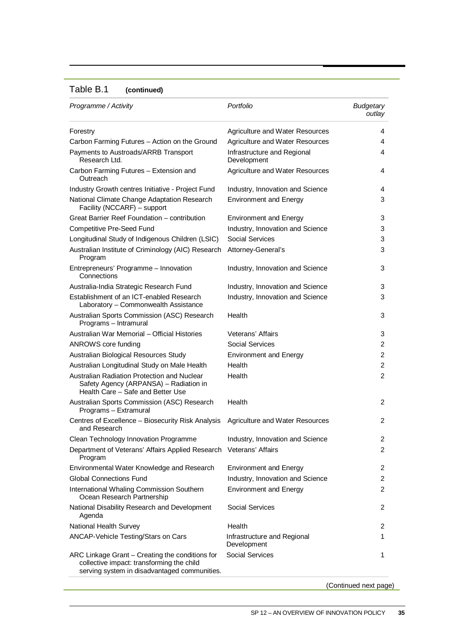#### Table B.1 **(continued)**

| Programme / Activity                                                                                                                         | Portfolio                                  | <b>Budgetary</b><br>outlay |
|----------------------------------------------------------------------------------------------------------------------------------------------|--------------------------------------------|----------------------------|
| Forestry                                                                                                                                     | <b>Agriculture and Water Resources</b>     | 4                          |
| Carbon Farming Futures - Action on the Ground                                                                                                | <b>Agriculture and Water Resources</b>     | 4                          |
| Payments to Austroads/ARRB Transport<br>Research Ltd.                                                                                        | Infrastructure and Regional<br>Development | 4                          |
| Carbon Farming Futures - Extension and<br>Outreach                                                                                           | Agriculture and Water Resources            | 4                          |
| Industry Growth centres Initiative - Project Fund                                                                                            | Industry, Innovation and Science           | 4                          |
| National Climate Change Adaptation Research<br>Facility (NCCARF) - support                                                                   | <b>Environment and Energy</b>              | 3                          |
| Great Barrier Reef Foundation - contribution                                                                                                 | <b>Environment and Energy</b>              | 3                          |
| <b>Competitive Pre-Seed Fund</b>                                                                                                             | Industry, Innovation and Science           | 3                          |
| Longitudinal Study of Indigenous Children (LSIC)                                                                                             | <b>Social Services</b>                     | 3                          |
| Australian Institute of Criminology (AIC) Research<br>Program                                                                                | Attorney-General's                         | 3                          |
| Entrepreneurs' Programme - Innovation<br>Connections                                                                                         | Industry, Innovation and Science           | 3                          |
| Australia-India Strategic Research Fund                                                                                                      | Industry, Innovation and Science           | 3                          |
| Establishment of an ICT-enabled Research<br>Laboratory - Commonwealth Assistance                                                             | Industry, Innovation and Science           | 3                          |
| Australian Sports Commission (ASC) Research<br>Programs - Intramural                                                                         | Health                                     | 3                          |
| Australian War Memorial - Official Histories                                                                                                 | <b>Veterans' Affairs</b>                   | 3                          |
| ANROWS core funding                                                                                                                          | <b>Social Services</b>                     | 2                          |
| Australian Biological Resources Study                                                                                                        | <b>Environment and Energy</b>              | $\overline{2}$             |
| Australian Longitudinal Study on Male Health                                                                                                 | Health                                     | $\overline{2}$             |
| Australian Radiation Protection and Nuclear<br>Safety Agency (ARPANSA) - Radiation in<br>Health Care - Safe and Better Use                   | Health                                     | $\overline{2}$             |
| Australian Sports Commission (ASC) Research<br>Programs - Extramural                                                                         | Health                                     | 2                          |
| Centres of Excellence - Biosecurity Risk Analysis<br>and Research                                                                            | Agriculture and Water Resources            | 2                          |
| Clean Technology Innovation Programme                                                                                                        | Industry, Innovation and Science           | 2                          |
| Department of Veterans' Affairs Applied Research Veterans' Affairs<br>Program                                                                |                                            | 2                          |
| Environmental Water Knowledge and Research                                                                                                   | <b>Environment and Energy</b>              | 2                          |
| <b>Global Connections Fund</b>                                                                                                               | Industry, Innovation and Science           | 2                          |
| International Whaling Commission Southern<br>Ocean Research Partnership                                                                      | <b>Environment and Energy</b>              | $\overline{2}$             |
| National Disability Research and Development<br>Agenda                                                                                       | Social Services                            | 2                          |
| National Health Survey                                                                                                                       | Health                                     | 2                          |
| ANCAP-Vehicle Testing/Stars on Cars                                                                                                          | Infrastructure and Regional<br>Development | 1                          |
| ARC Linkage Grant - Creating the conditions for<br>collective impact: transforming the child<br>serving system in disadvantaged communities. | Social Services                            | 1                          |

(Continued next page)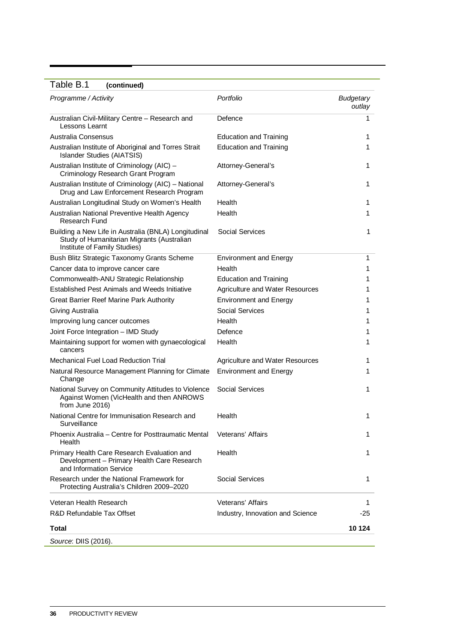#### Table B.1 **(continued)**

| Programme / Activity                                                                                                               | Portfolio                              | <b>Budgetary</b><br>outlay |
|------------------------------------------------------------------------------------------------------------------------------------|----------------------------------------|----------------------------|
| Australian Civil-Military Centre - Research and<br>Lessons Learnt                                                                  | Defence                                | 1                          |
| Australia Consensus                                                                                                                | <b>Education and Training</b>          | 1                          |
| Australian Institute of Aboriginal and Torres Strait<br><b>Islander Studies (AIATSIS)</b>                                          | <b>Education and Training</b>          | 1                          |
| Australian Institute of Criminology (AIC) -<br>Criminology Research Grant Program                                                  | Attorney-General's                     | 1                          |
| Australian Institute of Criminology (AIC) - National<br>Drug and Law Enforcement Research Program                                  | Attorney-General's                     | 1                          |
| Australian Longitudinal Study on Women's Health                                                                                    | Health                                 | 1                          |
| Australian National Preventive Health Agency<br><b>Research Fund</b>                                                               | Health                                 | 1                          |
| Building a New Life in Australia (BNLA) Longitudinal<br>Study of Humanitarian Migrants (Australian<br>Institute of Family Studies) | Social Services                        | 1                          |
| Bush Blitz Strategic Taxonomy Grants Scheme                                                                                        | <b>Environment and Energy</b>          | 1                          |
| Cancer data to improve cancer care                                                                                                 | Health                                 | 1                          |
| Commonwealth-ANU Strategic Relationship                                                                                            | <b>Education and Training</b>          | 1                          |
| Established Pest Animals and Weeds Initiative                                                                                      | <b>Agriculture and Water Resources</b> | 1                          |
| Great Barrier Reef Marine Park Authority                                                                                           | <b>Environment and Energy</b>          | 1                          |
| Giving Australia                                                                                                                   | <b>Social Services</b>                 | 1                          |
| Improving lung cancer outcomes                                                                                                     | Health                                 | 1                          |
| Joint Force Integration - IMD Study                                                                                                | Defence                                | 1                          |
| Maintaining support for women with gynaecological<br>cancers                                                                       | Health                                 | 1                          |
| <b>Mechanical Fuel Load Reduction Trial</b>                                                                                        | <b>Agriculture and Water Resources</b> | 1                          |
| Natural Resource Management Planning for Climate<br>Change                                                                         | <b>Environment and Energy</b>          | 1                          |
| National Survey on Community Attitudes to Violence<br>Against Women (VicHealth and then ANROWS<br>from June 2016)                  | <b>Social Services</b>                 | 1                          |
| National Centre for Immunisation Research and<br>Surveillance                                                                      | Health                                 | 1                          |
| Phoenix Australia - Centre for Posttraumatic Mental<br>Health                                                                      | Veterans' Affairs                      | 1                          |
| Primary Health Care Research Evaluation and<br>Development - Primary Health Care Research<br>and Information Service               | Health                                 | 1                          |
| Research under the National Framework for<br>Protecting Australia's Children 2009-2020                                             | Social Services                        | 1                          |
| Veteran Health Research                                                                                                            | Veterans' Affairs                      | 1                          |
| R&D Refundable Tax Offset                                                                                                          | Industry, Innovation and Science       | -25                        |
| Total                                                                                                                              |                                        | 10 124                     |
| Source: DIIS (2016).                                                                                                               |                                        |                            |